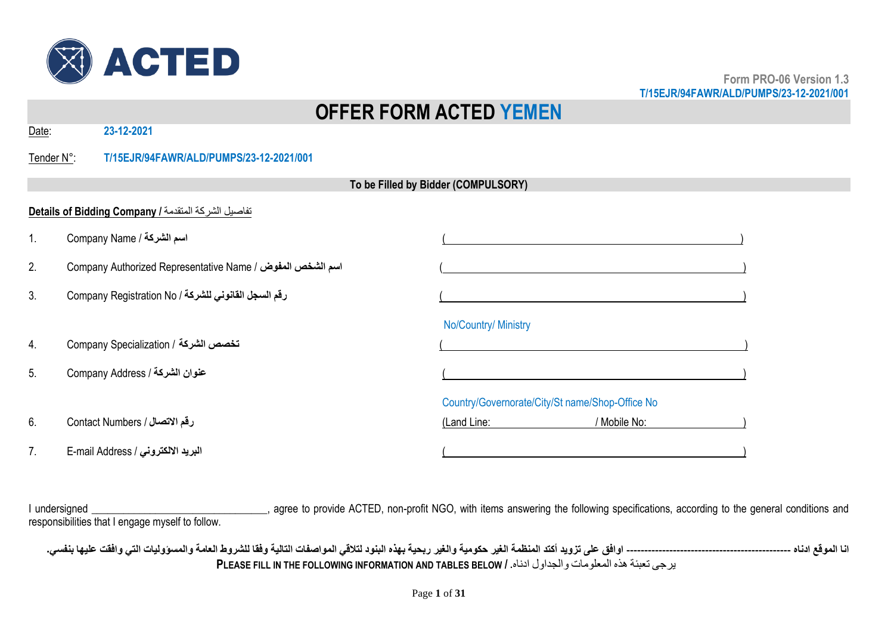

# **OFFER FORM ACTED YEMEN**

Date: **23-12-2021**

#### Tender N°: **T/15EJR/94FAWR/ALD/PUMPS/23-12-2021/001**

|                | To be Filled by Bidder (COMPULSORY)                         |                                                 |  |
|----------------|-------------------------------------------------------------|-------------------------------------------------|--|
|                | Details of Bidding Company / تفاصيل الشركة المتقدمة /       |                                                 |  |
| 1.             | Company Name / اسم الشركة                                   |                                                 |  |
| 2.             | Company Authorized Representative Name / اسم الشخص المفوض / |                                                 |  |
| 3.             | رقم السجل القانوني للشركة / Company Registration No         |                                                 |  |
|                |                                                             | No/Country/ Ministry                            |  |
| 4.             | Eompany Specialization / تخصص الشركة                        |                                                 |  |
| 5 <sub>1</sub> | عنوان الشركة / Company Address                              |                                                 |  |
|                |                                                             | Country/Governorate/City/St name/Shop-Office No |  |
| 6.             | رقم الاتصال / Contact Numbers                               | (Land Line:<br>/ Mobile No:                     |  |
| 7.             | البريد الالكتروني / E-mail Address                          |                                                 |  |

I undersigned \_\_\_\_\_\_\_\_\_\_\_\_\_\_\_\_\_\_\_\_\_\_\_\_\_\_\_\_\_\_\_\_, agree to provide ACTED, non-profit NGO, with items answering the following specifications, according to the general conditions and responsibilities that I engage myself to follow.

**انا الموقع ادناه ---------------------------------------------- اوافق على تزويد أكتد المنظمة الغير حكومية والغير ربحية بهذه البنود لتالقي المواصفات التالية وفقا للشروط العامة والمسؤوليات التي وافقت عليها بنفسي. PLEASE FILL IN THE FOLLOWING INFORMATION AND TABLES BELOW /** .ادناه والجداول المعلومات هذه تعبئة يرجى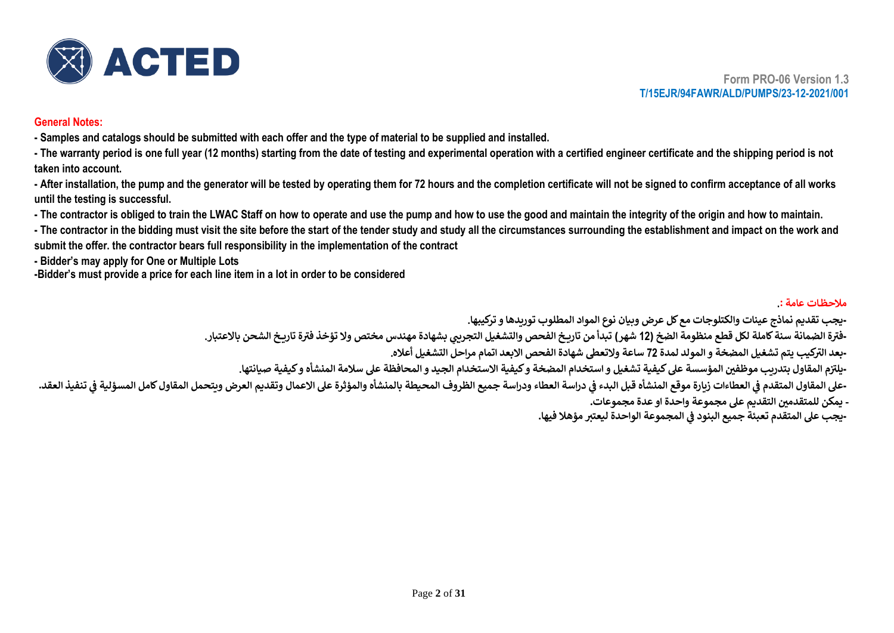

#### **General Notes:**

**- Samples and catalogs should be submitted with each offer and the type of material to be supplied and installed.**

**- The warranty period is one full year (12 months) starting from the date of testing and experimental operation with a certified engineer certificate and the shipping period is not taken into account.**

- After installation, the pump and the generator will be tested by operating them for 72 hours and the completion certificate will not be signed to confirm acceptance of all works **until the testing is successful.**

**- The contractor is obliged to train the LWAC Staff on how to operate and use the pump and how to use the good and maintain the integrity of the origin and how to maintain.**

**- The contractor in the bidding must visit the site before the start of the tender study and study all the circumstances surrounding the establishment and impact on the work and submit the offer. the contractor bears full responsibility in the implementation of the contract**

**- Bidder's may apply for One or Multiple Lots**

**ز**

**-Bidder's must provide a price for each line item in a lot in order to be considered**

#### **مالحظ ات عامة .:**

**-يجب تقديم نماذج عينات والكتلوجات مع كل عرض وبيان نوع المواد المطلوب توريدها و تركيبها.** -فترة الضمانة سنة كاملة لكل قطع منظومة الضخ (12 شهر) تبدأ من تاريخ الفحص والتشغيل التجريي بشهادة مهندس مختص ولا تؤخذ فترة تاريخ الشحن بالاعتبار. **- كيب يتم تشغيل المضخة و المولد لمدة ر بعد الت 72 ساعة والتعىط شهادة الفحص االبعد اتمام مراحل التشغيل أعاله.** -يلتزم المقاول بتدريب موظفين المؤسسة على كيفية تشغيل و استخدام المضخة و كيفية الاستخدام الجيد و المحافظة على سلامة المنشأه و كيفية صيانتها. -على المقاول المتقدم في العطاءات زيارة موقع المنشأه قبل البدء في دراسة المعام والمؤرخ المعاشر والمؤثرة على الأعمال وتقديم العرض ويتحمل المقاول كامل المسؤلية في تنفيذ العقد. **ي ز ي ز - يمكن للمتقدم ي التقديم عىل مجموعة واحدة او عدة مجموعات . ز ز**

**- المجموعة الواحدة ليعت تمؤهال فيها. يجب عىل المتقدم تعبئة جميع البنود ف ي**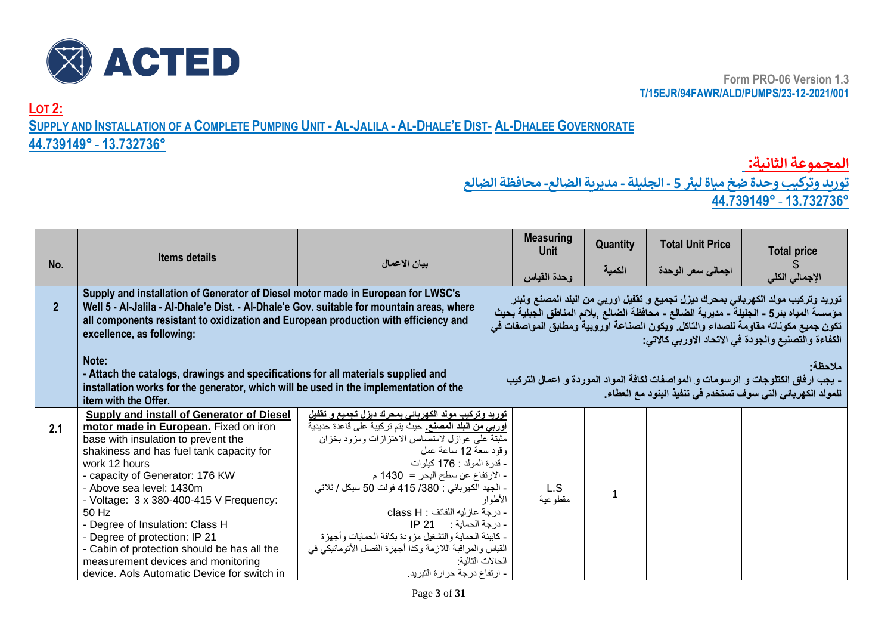

**LOT 2:** SUPPLY AND INSTALLATION OF A COMPLETE PUMPING UNIT - AL-JALILA - AL-DHALE'E DIST- AL-DHALEE GOVERNORATE

## **44.739149°** - **13.732736°**

**المجموعة الثانية:**

 **توريد وتركيب وحدة ضخ مياة ل بت5 - الجليلة - مديرية الضالع - محافظة الضالع 44.739149°** - **13.732736°**

| No.            | <b>Items details</b>                                                                                                                                                                                                                                                                                                                                                                                                                                                                                              | بيان الاعمال                                                                                                                                                                                                                                                                                                                                                                                                                                                                                                                                    |         | <b>Measuring</b><br>Unit | Quantity | <b>Total Unit Price</b>   | <b>Total price</b>                                                                                                                                                                                                                                                                                                       |
|----------------|-------------------------------------------------------------------------------------------------------------------------------------------------------------------------------------------------------------------------------------------------------------------------------------------------------------------------------------------------------------------------------------------------------------------------------------------------------------------------------------------------------------------|-------------------------------------------------------------------------------------------------------------------------------------------------------------------------------------------------------------------------------------------------------------------------------------------------------------------------------------------------------------------------------------------------------------------------------------------------------------------------------------------------------------------------------------------------|---------|--------------------------|----------|---------------------------|--------------------------------------------------------------------------------------------------------------------------------------------------------------------------------------------------------------------------------------------------------------------------------------------------------------------------|
|                |                                                                                                                                                                                                                                                                                                                                                                                                                                                                                                                   |                                                                                                                                                                                                                                                                                                                                                                                                                                                                                                                                                 |         | وحدة القياس              | الكمية   | اجمال <i>ی سعر</i> الوحدة | الإجمالي الكلي                                                                                                                                                                                                                                                                                                           |
| $\overline{2}$ | Supply and installation of Generator of Diesel motor made in European for LWSC's<br>Well 5 - Al-Jalila - Al-Dhale'e Dist. - Al-Dhale'e Gov. suitable for mountain areas, where<br>all components resistant to oxidization and European production with efficiency and<br>excellence, as following:                                                                                                                                                                                                                |                                                                                                                                                                                                                                                                                                                                                                                                                                                                                                                                                 |         |                          |          |                           | توريد وتركيب مولد الكهربائي بمحرك ديزل تجميع و تقفيل اوربي من البلد المصنع ولبئر<br>مؤسسة المياه بئر5 - الجليلة - مديرية الضالع - محافظة الضالع ,يلائم المناطق الجبلية بحيث<br>تكون جميع مكوناته مقاومة للصداء والتاكل. ويكون الصناعة اوروبية ومطابق المواصفات في<br>الكفاءة والتصنيع والجودة في الاتحاد الاوربي كالاتي: |
|                | Note:<br>- Attach the catalogs, drawings and specifications for all materials supplied and<br>installation works for the generator, which will be used in the implementation of the<br>item with the Offer.                                                                                                                                                                                                                                                                                                       |                                                                                                                                                                                                                                                                                                                                                                                                                                                                                                                                                 |         |                          |          |                           | ملاحظة·<br>- يجب ارفاق الكتلوجات و الرسومات و المواصفات لكافة المواد الموردة و اعمال التركيب<br>للمولد الكهربائي التي سوف تستخدم في تنفيذ البنود مع العطاء.                                                                                                                                                              |
| 2.1            | Supply and install of Generator of Diesel<br>motor made in European. Fixed on iron<br>base with insulation to prevent the<br>shakiness and has fuel tank capacity for<br>work 12 hours<br>- capacity of Generator: 176 KW<br>- Above sea level: 1430m<br>- Voltage: 3 x 380-400-415 V Frequency:<br>50 Hz<br>- Degree of Insulation: Class H<br>- Degree of protection: IP 21<br>- Cabin of protection should be has all the<br>measurement devices and monitoring<br>device. Aols Automatic Device for switch in | <u>تورید وترکیب مولد الکهربانی بمحرك دیزل تجمیع و تقفیل</u><br><mark>اوربي من البلد المصنع.</mark> حيث يتم تركيبة على قاعدة حديدية<br>مثبتة على عوازل لامتصاص الاهتزازات ومزود بخزان<br>وقود سعة 12 ساعة عمل<br>- قدرة المولد : 176 كيلوات<br>- الارتفاع عن سطح البحر = 1430 م<br>- الجهد الكهربائي : 380/ 415 فولت 50 سبكل / ثلاثي<br>- درجة عازليه اللفائف : class H<br>- كابينة الحماية والتشغيل مزودة بكافة الحمايات وأجهزة<br>القياس والمراقبة اللازمة وكذا أجهزة الفصل الأتوماتيكي في<br>الحالات التالبة:<br>- ارتفاع درجة حرارة التبريد. | الأطوار | L.S<br>مقطوعية           |          |                           |                                                                                                                                                                                                                                                                                                                          |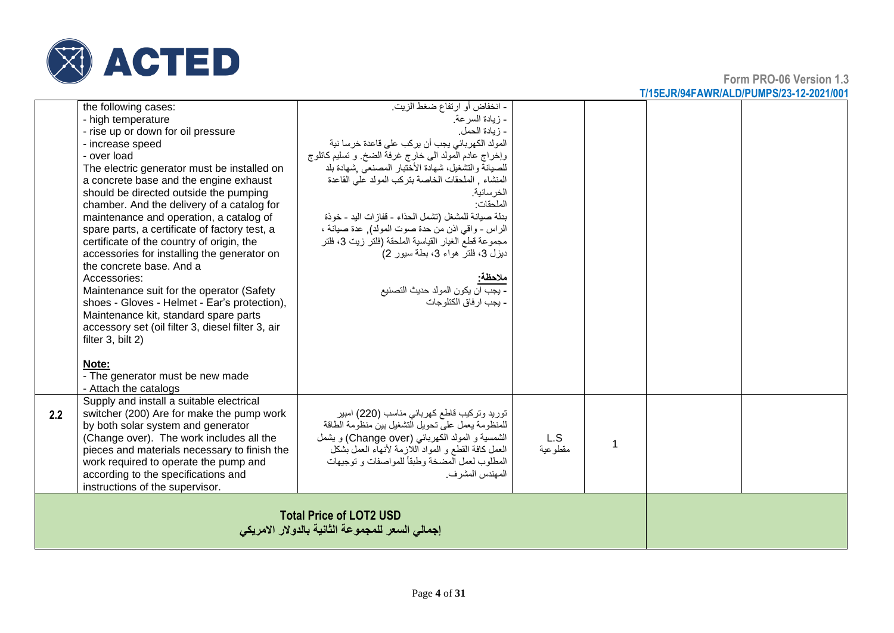

**Form PRO-06 Version 1.3 T/15EJR/94FAWR/ALD/PUMPS/23-12-2021/001**

| the following cases:<br>- high temperature<br>- rise up or down for oil pressure<br>- increase speed<br>- over load<br>The electric generator must be installed on<br>a concrete base and the engine exhaust<br>should be directed outside the pumping<br>chamber. And the delivery of a catalog for<br>maintenance and operation, a catalog of<br>spare parts, a certificate of factory test, a<br>certificate of the country of origin, the<br>accessories for installing the generator on<br>the concrete base. And a<br>Accessories:<br>Maintenance suit for the operator (Safety | - انخفاض أو ارتفاع ضغط الزيت.<br>- زيادة السر عة.<br>- زيادة الحمل.<br>المولد الكهربائي يجب أن يركب على قاعدة خرسا نية<br>وإخراج عادم المولد الى خارج غرفة الضخ وتسليم كاتلوج<br>للصيانة والتشغيل، شهادة الأختبار المصنعي شهادة بلد<br>المنشاء , الملحقات الخاصة بتركب المولد على القاعدة<br>الخر سانية.<br>الملحقات·<br>بدلة صيانة للمشغل (تشمل الحذاء - قفازات اليد - خوذة<br>الراس - واقى اذن من حدة صوت المولد), عدة صيانة ،<br>مجموعة قطع الغيار القياسية الملحقة (فلتر زيت 3، فلتر<br>ديزل 3، فلتر هواء 3، بطة سيور 2)<br>ملاحظة:<br>- يجب ان يكون المولد حديث التصنيع |                |             |  |
|---------------------------------------------------------------------------------------------------------------------------------------------------------------------------------------------------------------------------------------------------------------------------------------------------------------------------------------------------------------------------------------------------------------------------------------------------------------------------------------------------------------------------------------------------------------------------------------|------------------------------------------------------------------------------------------------------------------------------------------------------------------------------------------------------------------------------------------------------------------------------------------------------------------------------------------------------------------------------------------------------------------------------------------------------------------------------------------------------------------------------------------------------------------------------|----------------|-------------|--|
| shoes - Gloves - Helmet - Ear's protection),<br>Maintenance kit, standard spare parts<br>accessory set (oil filter 3, diesel filter 3, air<br>filter 3, bilt 2)<br>Note:<br>- The generator must be new made<br>- Attach the catalogs                                                                                                                                                                                                                                                                                                                                                 | - يجب ار فاق الكتلو جات                                                                                                                                                                                                                                                                                                                                                                                                                                                                                                                                                      |                |             |  |
| Supply and install a suitable electrical<br>switcher (200) Are for make the pump work<br>2.2<br>by both solar system and generator<br>(Change over). The work includes all the<br>pieces and materials necessary to finish the<br>work required to operate the pump and<br>according to the specifications and<br>instructions of the supervisor.                                                                                                                                                                                                                                     | تورید وترکیب قاطع کهربائی مناسب (220) امبیر<br>للمنظومة يعمل على تحويل التشغيل بين منظومة الطاقة<br>الشمسية و المولد الكهربائي (Change over) و يشمل<br>العمل كافة القطع و المواد اللازمة لأنهاء العمل بشكل<br>المطلوب لعمل المضخة وطبقاً للمواصفات و توجيهات<br>المهندس المشرف.                                                                                                                                                                                                                                                                                              | L.S<br>مقطوعية | $\mathbf 1$ |  |
|                                                                                                                                                                                                                                                                                                                                                                                                                                                                                                                                                                                       | <b>Total Price of LOT2 USD</b><br>إجمالي السعر للمجموعة الثانية بالدولار الامريكي                                                                                                                                                                                                                                                                                                                                                                                                                                                                                            |                |             |  |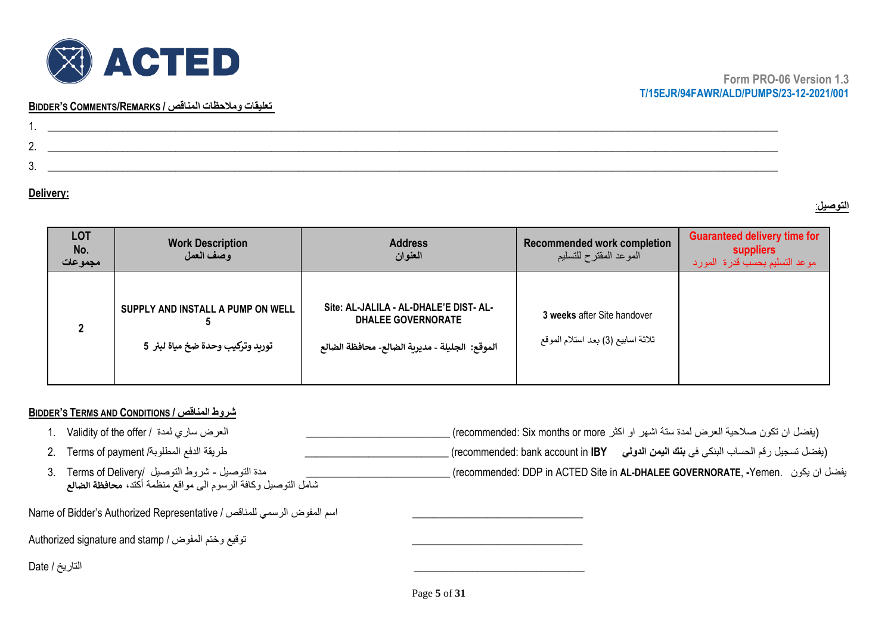

#### **BIDDER'S COMMENTS/REMARKS / المناقص ومالحظات تعليقات**

| . .      |  |
|----------|--|
| <u>.</u> |  |
| ັບ.      |  |
|          |  |

#### **Delivery:**

### **التوصيل** :

| <b>LOT</b><br>No.<br>مجموعات | <b>Work Description</b><br>وصف العمل                                  | <b>Address</b><br>العنوان                                                                                             | <b>Recommended work completion</b><br>الموعد المقترح للتسليم      | <b>Guaranteed delivery time for</b><br>suppliers<br>موعد التسليم بحسب قدرة المورد |
|------------------------------|-----------------------------------------------------------------------|-----------------------------------------------------------------------------------------------------------------------|-------------------------------------------------------------------|-----------------------------------------------------------------------------------|
|                              | SUPPLY AND INSTALL A PUMP ON WELL<br>توريد وتركيب وحدة ضخ مياة لبئر 5 | Site: AL-JALILA - AL-DHALE'E DIST- AL-<br><b>DHALEE GOVERNORATE</b><br>الموقع: الجليلة - مديرية الضالع- محافظة الضالع | 3 weeks after Site handover<br>ثلاثة اسابيع (3) بعد استلام الموقع |                                                                                   |

### **BIDDER'S TERMS AND CONDITIONS / المناقص شروط**

| العرض سارى لمدة  / Validity of the offer                      | (يفضل ان تكون صلاحية العرض لمدة ستة اشهر او اكثر recommended: Six months or more) ِ                           |
|---------------------------------------------------------------|---------------------------------------------------------------------------------------------------------------|
| طريقة الدفع المطلوبة/ Terms of payment                        | ـ (يفضل تسجيل رقم الحساب البنكي في <b>بنك اليمن الدولي       r</b> ecommended: bank account in <b>IBY )</b> _ |
| مدة التوصيل ـ شروط التوصيل  /Terms of Delivery                | بفضل ان يكون   .recommended: DDP in ACTED Site in <b>AL-DHALEE GOVERNORATE)</b>                               |
| شامل التوصيل وكافة الرسوم الى مواقع منظمة أكتد، محافظة الضالع |                                                                                                               |

Name of Bidder's Authorized Representative / للمناقص الرسمي المفوض اسم\_\_\_\_\_\_\_\_\_\_\_\_\_\_\_\_\_\_\_\_\_\_\_\_\_\_\_\_\_\_\_\_

Authorized signature and stamp / توقيع وختم المفوض /

\_\_\_\_\_\_\_\_\_\_\_\_\_\_\_\_\_\_\_\_\_\_\_\_\_\_\_\_\_\_\_\_ التاريخ / Date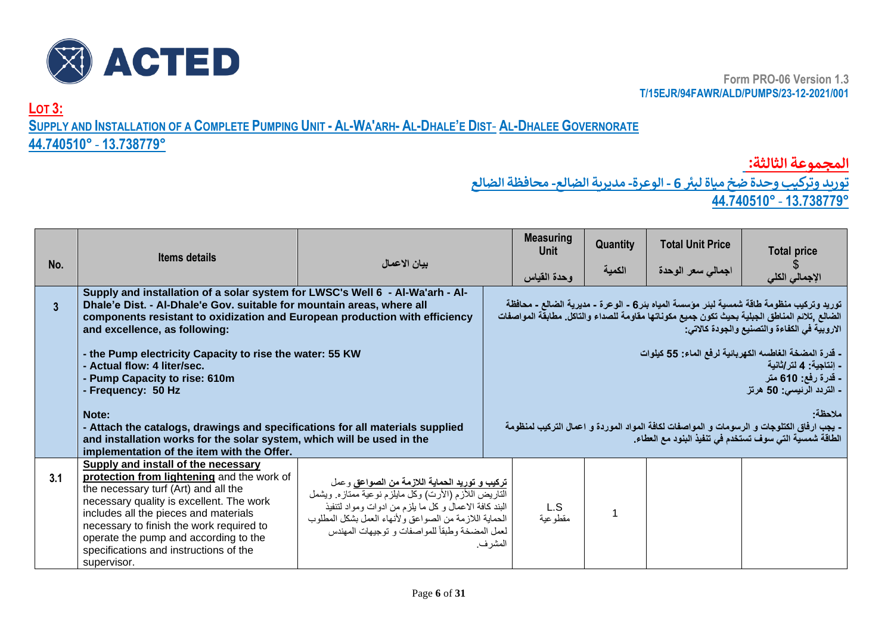

**LOT 3:**

SUPPLY AND INSTALLATION OF A COMPLETE PUMPING UNIT - AL-WA'ARH- AL-DHALE'E DIST- AL-DHALEE GOVERNORATE

## **44.740510°** - **13.738779°**

**المجموعة الثالثة:** 

 **توريد وتركيب وحدة ضخ مياة ل بت6 - الوعرة- مديرية الضالع- محافظة الضالع** 

|  | 44.740510° - 13.738779° |
|--|-------------------------|
|  |                         |

| No. | <b>Items details</b>                                                                                                                                                                                                                                                                                                                                         | بيان الاعمال                                                                                                                                                                                                                                                            |         | <b>Measuring</b><br>Unit<br>وحدة القياس | Quantity<br>الكمية | <b>Total Unit Price</b><br>اجمالى سعر الوحدة | <b>Total price</b><br>الإجمالي الكلي                                                                                                                                                                                                     |
|-----|--------------------------------------------------------------------------------------------------------------------------------------------------------------------------------------------------------------------------------------------------------------------------------------------------------------------------------------------------------------|-------------------------------------------------------------------------------------------------------------------------------------------------------------------------------------------------------------------------------------------------------------------------|---------|-----------------------------------------|--------------------|----------------------------------------------|------------------------------------------------------------------------------------------------------------------------------------------------------------------------------------------------------------------------------------------|
|     | Supply and installation of a solar system for LWSC's Well 6 - Al-Wa'arh - Al-<br>Dhale'e Dist. - Al-Dhale'e Gov. suitable for mountain areas, where all<br>components resistant to oxidization and European production with efficiency<br>and excellence, as following:                                                                                      |                                                                                                                                                                                                                                                                         |         |                                         |                    |                                              | توريد وتركيب منظومة طاقة شمسية لبنر مؤسسة المياه بنر6 - الوعرة - مديرية الصالع - محافظة<br>الضالع ,تلائم المناطق الجبلية بحيث تكون جميع مكوناتها مقاومة للصداء والتاكل. مطابقة المواصفات<br>الاروبية في الكفاءة والتصنيع والجودة كالاتي: |
|     | - the Pump electricity Capacity to rise the water: 55 KW<br>- Actual flow: 4 liter/sec.<br>Pump Capacity to rise: 610m<br>- Frequency: 50 Hz                                                                                                                                                                                                                 |                                                                                                                                                                                                                                                                         |         |                                         |                    |                                              | - قدرة المضخة الغاطسه الكهربائية لرفع الماء: 55 كيلوات<br>- اِنتاجية: 4 لتر اِثانية<br><b>ـ قدرة رفع: 610 متر</b><br>- التردد الرنيسي: 50 هرتز                                                                                           |
|     | Note:<br>- Attach the catalogs, drawings and specifications for all materials supplied<br>and installation works for the solar system, which will be used in the<br>implementation of the item with the Offer.                                                                                                                                               |                                                                                                                                                                                                                                                                         |         |                                         |                    |                                              | ملاحظة<br>- يجب ارفاق الكتلوجات و الرسومات و المواصفات لكافة المواد الموردة و اعمال التركيب لمنظومة<br>الطاقة شمسية التي سوف تستخدم في تنفيذ البنود مع العطاء.                                                                           |
| 3.1 | Supply and install of the necessary<br>protection from lightening and the work of<br>the necessary turf (Art) and all the<br>necessary quality is excellent. The work<br>includes all the pieces and materials<br>necessary to finish the work required to<br>operate the pump and according to the<br>specifications and instructions of the<br>supervisor. | تركيب و توريد الحماية اللازمة من الصواعق وعمل<br>التاريض اللأزم (الأرت) وكل مايلزم نوعية ممتازه ويشمل<br>البند كافة الاعمال وكل ما يلزم من ادوات ومواد لتنفيذ<br>الحماية اللازمة من الصواعق ولأنهاء العمل بشكل المطلوب<br>لعمل المضخة وطبقأ للمواصفات و توجيهات المهندس | المشرف. | L.S<br>مقطوعية                          |                    |                                              |                                                                                                                                                                                                                                          |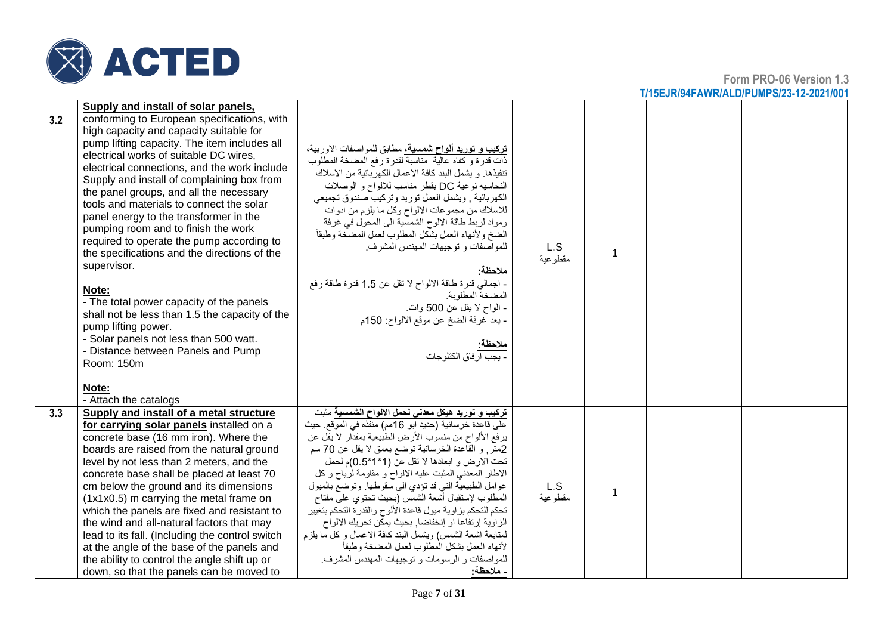

|     |                                                                                                                                                                                                                                                                                                                                                                                                                                                                                                                                                                                                                                                                                                                                                                                                                                                                         |                                                                                                                                                                                                                                                                                                                                                                                                                                                                                                                                                                                                                                                                                                                                                      |                 |   | <u>17 IJLJIN JHI AVVINALDIF UMF OIZJ" IZ"ZUZ 1700</u> |
|-----|-------------------------------------------------------------------------------------------------------------------------------------------------------------------------------------------------------------------------------------------------------------------------------------------------------------------------------------------------------------------------------------------------------------------------------------------------------------------------------------------------------------------------------------------------------------------------------------------------------------------------------------------------------------------------------------------------------------------------------------------------------------------------------------------------------------------------------------------------------------------------|------------------------------------------------------------------------------------------------------------------------------------------------------------------------------------------------------------------------------------------------------------------------------------------------------------------------------------------------------------------------------------------------------------------------------------------------------------------------------------------------------------------------------------------------------------------------------------------------------------------------------------------------------------------------------------------------------------------------------------------------------|-----------------|---|-------------------------------------------------------|
| 3.2 | Supply and install of solar panels,<br>conforming to European specifications, with<br>high capacity and capacity suitable for<br>pump lifting capacity. The item includes all<br>electrical works of suitable DC wires,<br>electrical connections, and the work include<br>Supply and install of complaining box from<br>the panel groups, and all the necessary<br>tools and materials to connect the solar<br>panel energy to the transformer in the<br>pumping room and to finish the work<br>required to operate the pump according to<br>the specifications and the directions of the<br>supervisor.<br>Note:<br>- The total power capacity of the panels<br>shall not be less than 1.5 the capacity of the<br>pump lifting power.<br>- Solar panels not less than 500 watt.<br>- Distance between Panels and Pump<br>Room: 150m<br>Note:<br>- Attach the catalogs | <b>تركيب و توريد ألواح شمسية،</b> مطابق للمواصفات الاوربية،<br>ذات قدرة و كفاه عالية ۖ مناسبةٌ لقدرة رفع المضخة المطلوب<br>تنفيذها. و يشمل البند كافة الاعمال الكهربائية من الاسلاك<br>النحاسيه نوعية DC بقطر مناسب للالواح و الوصلات<br>الكهربائية , ويشمل العمل توريد وتركيب صندوق تجميعي<br>للاسلاك من مجموعات الالواح وكل ما يلزم من ادوات<br>ومواد لربط طاقة الالوح الشمسية الى المحول في غرفة<br>الضخ ولأنهاء العمل بشكل المطلوب لعمل المضحة وطبقأ<br>للمواصفات و توجيهات المهندس المشرف.<br>ملاحظه:<br>- اجمالي فدرة طاقة الالواح لا تقل عن 1.5 فدرة طاقة رفع<br>المضخة المطلوبة<br>ـ الواح لا يقل عن 500 وات.<br>ـ بعد غرفة الضخ عن موقع الالواح: 150م<br><mark>ملاحظة:</mark><br>- يجب ار فاق الكتلوجات                                     | L.S<br>مقطوعية  | 1 |                                                       |
| 3.3 | Supply and install of a metal structure<br>for carrying solar panels installed on a<br>concrete base (16 mm iron). Where the<br>boards are raised from the natural ground<br>level by not less than 2 meters, and the<br>concrete base shall be placed at least 70<br>cm below the ground and its dimensions<br>(1x1x0.5) m carrying the metal frame on<br>which the panels are fixed and resistant to<br>the wind and all-natural factors that may<br>lead to its fall. (Including the control switch<br>at the angle of the base of the panels and<br>the ability to control the angle shift up or<br>down, so that the panels can be moved to                                                                                                                                                                                                                        | تركيب و توريد هيكل معدنى لحمل الالواح الشمسية مثبت<br>على قاعدة خرسانية (حديد ابو 16مم) منفذه في الموقع. حيث<br>يرفع الألواح من منسوب الأرض الطبيعية بمقدار لا يقل عن<br>2متر, و القاعدة الخرسانية توضع بعمق لا يقل عن 70 سم<br>تحت الارض و ابعادها لا تقل عن (1*1*0.5)م لحمل<br>الاطار المعدني المثبت عليه الالواح و مقاومة لرياح و كل<br>عوامل الطبيعية التي قد تؤدي الى سقوطها. وتوضع بالميول<br>المطلوب لإستقبال أشعة الشمس (بحيث نحتوى على مفتاح<br>تحكم للتحكم بزاوية ميول فاعدة الألوح والقدرة التحكم بتغيير<br>الزاوية إرتفاعا او إنخفاضا, بحيث يمكن تحريك الالواح<br>لمتابعة اشعة الشمس) ويشمل البند كافة الاعمال وكل ما بلزم<br>لأنهاء العمل بشكل المطلوب لعمل المضخة وطبقأ<br>للمواصفات و الرسومات و توجيهات المهندس المشرف.<br>ـ ملاحظة: | L.S<br>مقطو عية | 1 |                                                       |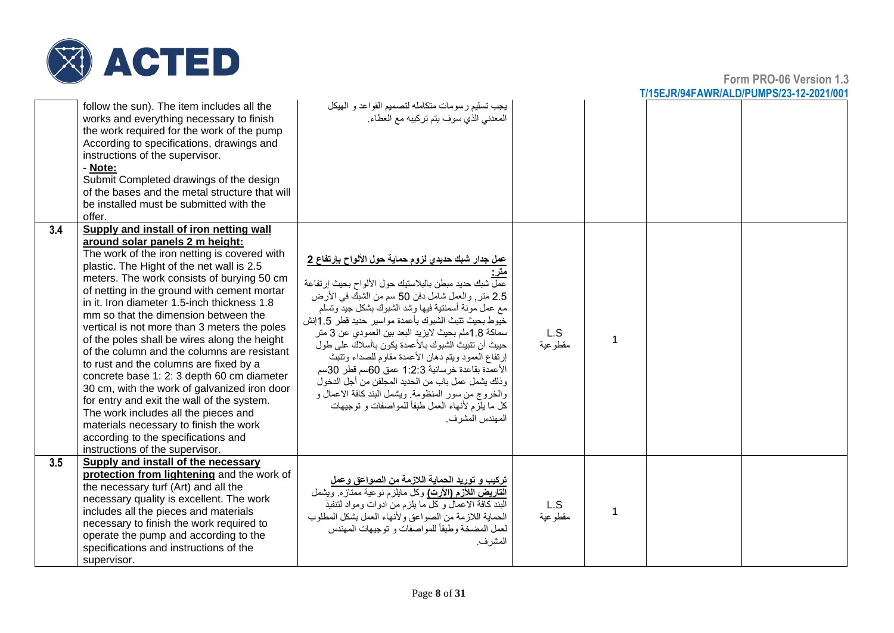

|     | follow the sun). The item includes all the<br>works and everything necessary to finish<br>the work required for the work of the pump<br>According to specifications, drawings and<br>instructions of the supervisor.<br>- Note:<br>Submit Completed drawings of the design<br>of the bases and the metal structure that will<br>be installed must be submitted with the<br>offer.                                                                                                                                                                                                                                                                                                                                                                                                                                                                            | يجب تسليم رسومات متكامله لتصميم القواعد و الهيكل<br>المعدني الذي سوف يتم تركيبه مع العطاء.                                                                                                                                                                                                                                                                                                                                                                                                                                                                                                                                                                                                      |                 |                |  |
|-----|--------------------------------------------------------------------------------------------------------------------------------------------------------------------------------------------------------------------------------------------------------------------------------------------------------------------------------------------------------------------------------------------------------------------------------------------------------------------------------------------------------------------------------------------------------------------------------------------------------------------------------------------------------------------------------------------------------------------------------------------------------------------------------------------------------------------------------------------------------------|-------------------------------------------------------------------------------------------------------------------------------------------------------------------------------------------------------------------------------------------------------------------------------------------------------------------------------------------------------------------------------------------------------------------------------------------------------------------------------------------------------------------------------------------------------------------------------------------------------------------------------------------------------------------------------------------------|-----------------|----------------|--|
| 3.4 | Supply and install of iron netting wall<br>around solar panels 2 m height:<br>The work of the iron netting is covered with<br>plastic. The Hight of the net wall is 2.5<br>meters. The work consists of burying 50 cm<br>of netting in the ground with cement mortar<br>in it. Iron diameter 1.5-inch thickness 1.8<br>mm so that the dimension between the<br>vertical is not more than 3 meters the poles<br>of the poles shall be wires along the height<br>of the column and the columns are resistant<br>to rust and the columns are fixed by a<br>concrete base 1: 2: 3 depth 60 cm diameter<br>30 cm, with the work of galvanized iron door<br>for entry and exit the wall of the system.<br>The work includes all the pieces and<br>materials necessary to finish the work<br>according to the specifications and<br>instructions of the supervisor. | <u>عمل جدار شبك حديدي لزوم حماية حول الألواح بإرتفاع 2</u><br>عمل شبك حديد مبطن بالبلاستيك حول الألواح بحيث إرتفاعة<br>2.5 متر, والعمل شامل دفن 50 سم من الشبك في الأرض<br>مع عمل مونة أسمنتية فيها وشد الشبوك بشكل جيدٌ وتسلم<br>خيوط بحيث نتبث الشبوك بأعمدة مواسير حديد فطر 1.5إنش<br>سماكة 1.8ملم بحيث لايزيد البعد بين العمودي عن 3 متر<br>حييث أن تتبيث الشبوك بالأعمدة يكون باأسلاك على طول<br>إرتفاع العمود ويتم دهان الأعمدة مقاوم للصداء وتتبث<br>الأعمدة بقاعدة خرسانية 1:2:3 عمق 60سم قطر 30سم<br>وذلك يشمل عمل باب من الحديد المجلفن من أجل الدخول<br>والخروج من سور المنظومة. ويشمل البند كافة الاعمال و<br>كل ما يلزم لأنهاء العمل طبقاً للمواصفات و توجيهات<br>المهندس المشر ف. | L.S<br>مقطوعية  | $\overline{1}$ |  |
| 3.5 | Supply and install of the necessary<br>protection from lightening and the work of<br>the necessary turf (Art) and all the<br>necessary quality is excellent. The work<br>includes all the pieces and materials<br>necessary to finish the work required to<br>operate the pump and according to the<br>specifications and instructions of the<br>supervisor.                                                                                                                                                                                                                                                                                                                                                                                                                                                                                                 | تركيب و توريد الحماية اللازمة من الصواعق وعمل<br>القاريض اللأزم (الأرت) وكل مايلزم نوعية ممتازه ويشمل<br>البند كافة الاعمال وكل ما يلزم من ادوات ومواد لتنفيذ<br>الحماية اللازمة من الصواعق ولأنهاء العمل بشكل المطلوب<br>لعمل المضخة وطبقاً للمواصفات و توجيهات المهندس<br>المشر ف.                                                                                                                                                                                                                                                                                                                                                                                                            | L.S<br>مقطو عية | 1              |  |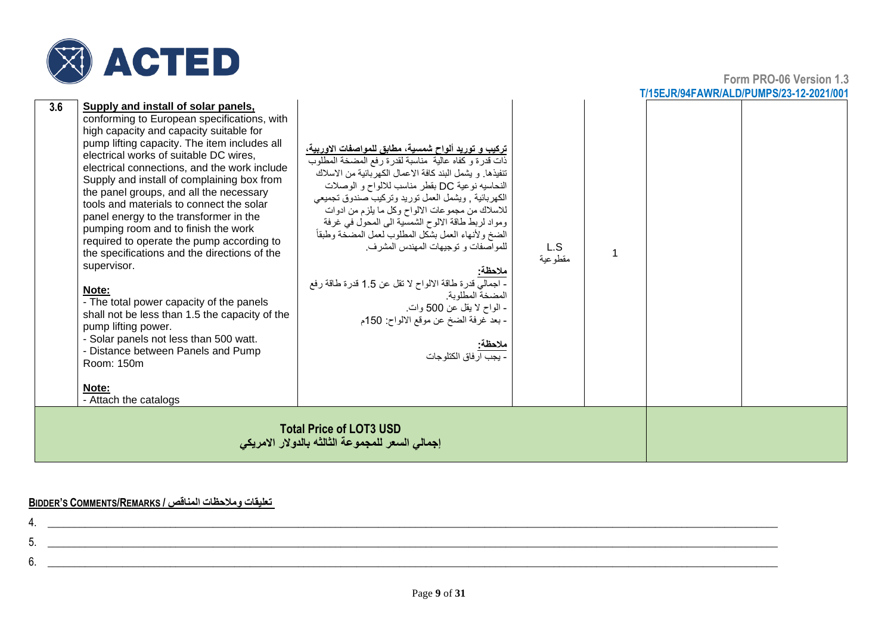

|                                                                                                                                                                                                                                                                                                                                                                                                                                                                                                                                                                                                                                                                                                                                                                                                                                                                                |                                                                                                                                                                                                                                                                                                                                                                                                                                                                                                                                                                                                                                                                                                                 |                |  | <u>11 JULIO 1945 AVVIO ALUIPUIVIPSI 23-TZ-202 IIUV</u> |
|--------------------------------------------------------------------------------------------------------------------------------------------------------------------------------------------------------------------------------------------------------------------------------------------------------------------------------------------------------------------------------------------------------------------------------------------------------------------------------------------------------------------------------------------------------------------------------------------------------------------------------------------------------------------------------------------------------------------------------------------------------------------------------------------------------------------------------------------------------------------------------|-----------------------------------------------------------------------------------------------------------------------------------------------------------------------------------------------------------------------------------------------------------------------------------------------------------------------------------------------------------------------------------------------------------------------------------------------------------------------------------------------------------------------------------------------------------------------------------------------------------------------------------------------------------------------------------------------------------------|----------------|--|--------------------------------------------------------|
| 3.6<br>Supply and install of solar panels,<br>conforming to European specifications, with<br>high capacity and capacity suitable for<br>pump lifting capacity. The item includes all<br>electrical works of suitable DC wires,<br>electrical connections, and the work include<br>Supply and install of complaining box from<br>the panel groups, and all the necessary<br>tools and materials to connect the solar<br>panel energy to the transformer in the<br>pumping room and to finish the work<br>required to operate the pump according to<br>the specifications and the directions of the<br>supervisor.<br>Note:<br>- The total power capacity of the panels<br>shall not be less than 1.5 the capacity of the<br>pump lifting power.<br>- Solar panels not less than 500 watt.<br>- Distance between Panels and Pump<br>Room: 150m<br>Note:<br>- Attach the catalogs | تركيب و توريد ألواح شمسية، مطابق للمواصفات الاوربية،<br>ذات قدرة وكفاه عالية مناسبة لقدرة رفع المضخة المطلوب<br>تنفيذها. و يشمل البند كافة الاعمال الكهربائية من الاسلاك<br>النحاسيه نوعية DC بقطر مناسب للالواح و الوصلات<br>الكهربائية , ويشمل العمل توريد وتركيب صندوق تجميعي<br>للاسلاك من مجموعات الالواح وكل ما يلزم من ادوات<br>ومواد لربط طاقة الالوح الشمسية الى المحول في غرفة<br>الضخ ولأنهاء العمل بشكل المطلوب لعمل المضخة وطبقأ<br>للمو اصفات و توجيهات المهندس المشر ف.<br><mark>ملاحظة:</mark><br>- اجمالي قدرة طاقة الالواح لا نقل عن 1.5 قدرة طاقة رفع<br>المضخة المطلوبة<br>- الواح لا يقل عن 500 وات.<br>- بعد غرفة الضخ عن موقع الالواح: 150م<br><u>ملاحظة.</u><br>. يجب ار فاق الكتلو جات | L.S<br>مقطوعية |  |                                                        |
|                                                                                                                                                                                                                                                                                                                                                                                                                                                                                                                                                                                                                                                                                                                                                                                                                                                                                | <b>Total Price of LOT3 USD</b><br>إجمالي السعر للمجموعة الثالثه بالدولار الامريكي                                                                                                                                                                                                                                                                                                                                                                                                                                                                                                                                                                                                                               |                |  |                                                        |

#### **BIDDER'S COMMENTS/REMARKS / المناقص ومالحظات تعليقات**

| ັ  |  |
|----|--|
| J. |  |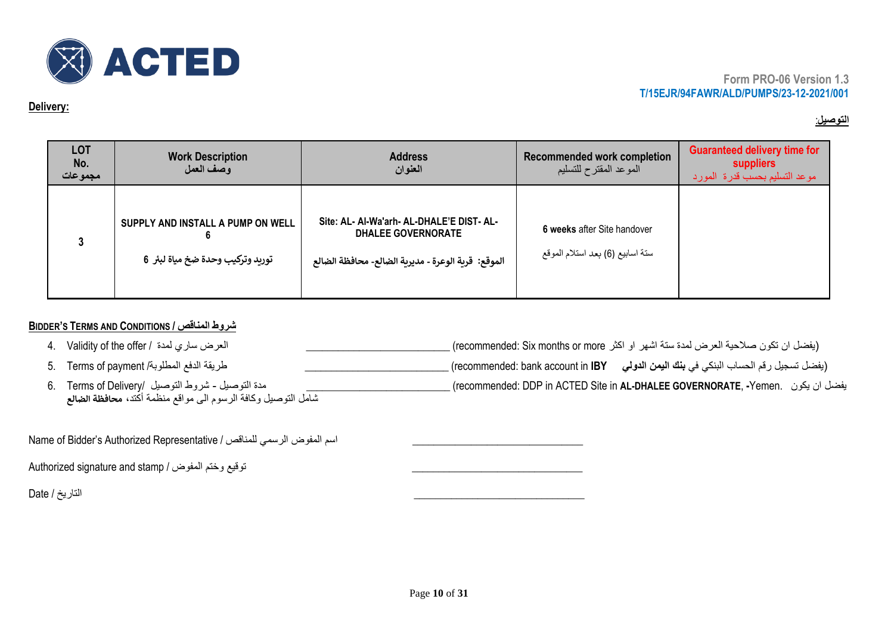

#### **Delivery:**

## **التوصيل** :

| <b>LOT</b><br>No.<br>مجموعات | <b>Work Description</b><br>وصف العمل                                   | <b>Address</b><br>العنوان                                                                                                     | <b>Recommended work completion</b><br>الموعد المقترح للتسليم    | <b>Guaranteed delivery time for</b><br>suppliers<br>موعد التسليم بحسب قدرة المورد |
|------------------------------|------------------------------------------------------------------------|-------------------------------------------------------------------------------------------------------------------------------|-----------------------------------------------------------------|-----------------------------------------------------------------------------------|
| ິ                            | SUPPLY AND INSTALL A PUMP ON WELL<br>توريد وتركيب وحدة ضخ مياة لبئر  6 | Site: AL- Al-Wa'arh- AL-DHALE'E DIST- AL-<br><b>DHALEE GOVERNORATE</b><br>الموقع:  قرية الوعرة - مديرية الضالع- محافظة الضالع | 6 weeks after Site handover<br>سنة اسابيع (6) بعد استلام الموقع |                                                                                   |

## **BIDDER'S TERMS AND CONDITIONS / المناقص شروط**

| - العرض ساري لمدة / 4.   Validity of the offer                        | (يفضل ان تكون صلاحية العرض لمدة ستة اشهر او اكثر recommended: Six months or more) ِ                           |
|-----------------------------------------------------------------------|---------------------------------------------------------------------------------------------------------------|
| طريقة الدفع المطلوبة/ 5.    Terms of payment                          | ـ (يفضل تسجيل رقم الحساب البنكي في <b>بنك اليمن الدولي       r</b> ecommended: bank account in <b>IBY )</b> _ |
| مدة التوصيل ـ شروط التوصيل  /Terms of Delivery                        | ا (recommended: DDP in ACTED Site in <b>AL-DHALEE GOVERNORATE, -Y</b> emen. يفضل ان يكون                      |
| شامل التوصيل وكافة الرسوم الى مواقع منظمة أكتد، محا <b>فظة الضالع</b> |                                                                                                               |

Name of Bidder's Authorized Representative / السم المفوض الرسمي للمناقص

Authorized signature and stamp / توقيع وختم المفوض /

\_\_\_\_\_\_\_\_\_\_\_\_\_\_\_\_\_\_\_\_\_\_\_\_\_\_\_\_\_\_\_\_ التاريخ / Date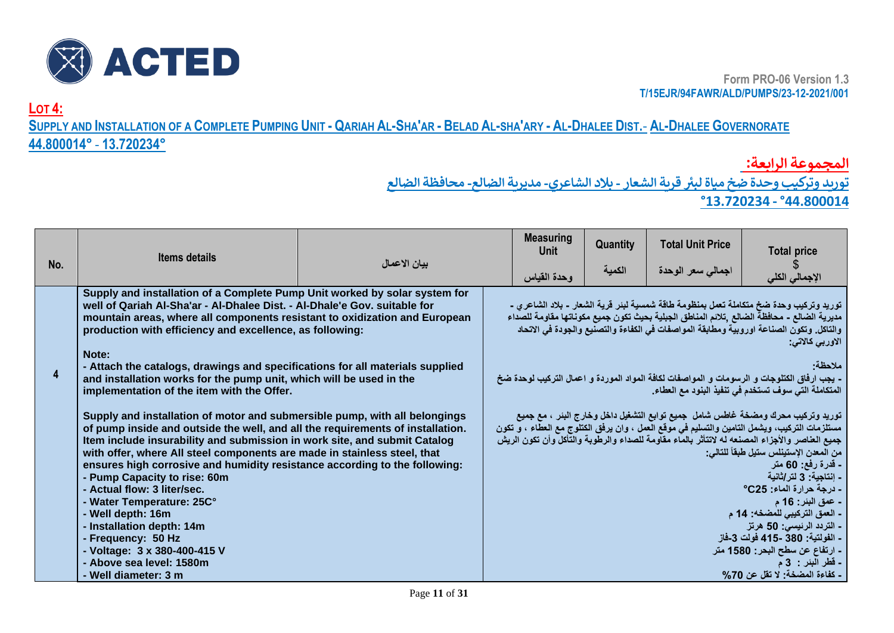

**LOT 4:**

## SUPPLY AND INSTALLATION OF A COMPLETE PUMPING UNIT - QARIAH AL-SHA'AR - BELAD AL-SHA'ARY - AL-DHALEE DIST.- AL-DHALEE GOVERNORATE **44.800014°** - **13.720234°**

**المجموعة الرابعة:** 

 **توريد وتركيب وحدة ضخ مياة ل بت قرية الشعار - بالد الشاعري- مديرية الضالع - محافظة الضالع** 

**°13.720234 - °44.800014**

|     | <b>Items details</b>                                                                                                                                                                                                                                                                                                                                                                                                                                                                                                                                                                                                                                        |              | <b>Measuring</b><br>Unit | Quantity | <b>Total Unit Price</b> | <b>Total price</b>                                                                                                                                                                                                                                                                                                                                                                                                                                                                                                                                                                                                                              |
|-----|-------------------------------------------------------------------------------------------------------------------------------------------------------------------------------------------------------------------------------------------------------------------------------------------------------------------------------------------------------------------------------------------------------------------------------------------------------------------------------------------------------------------------------------------------------------------------------------------------------------------------------------------------------------|--------------|--------------------------|----------|-------------------------|-------------------------------------------------------------------------------------------------------------------------------------------------------------------------------------------------------------------------------------------------------------------------------------------------------------------------------------------------------------------------------------------------------------------------------------------------------------------------------------------------------------------------------------------------------------------------------------------------------------------------------------------------|
| No. |                                                                                                                                                                                                                                                                                                                                                                                                                                                                                                                                                                                                                                                             | بيان الاعمال | وحدة القياس              | الكمية   | اجمالى سعر الوحدة       | الإجمالي الكلي                                                                                                                                                                                                                                                                                                                                                                                                                                                                                                                                                                                                                                  |
|     | Supply and installation of a Complete Pump Unit worked by solar system for<br>well of Qariah Al-Sha'ar - Al-Dhalee Dist. - Al-Dhale'e Gov. suitable for<br>mountain areas, where all components resistant to oxidization and European<br>production with efficiency and excellence, as following:<br>Note:                                                                                                                                                                                                                                                                                                                                                  |              |                          |          |                         | توريد وتركيب وحدة ضخ متكاملة تعمل بمنظومة طاقة شمسية لبنر فرية الشعار - بلاد الشاعري -<br>مديرية الضالع - محافظة الضالع ,تلانم المناطق الجبلية بحيث تكون جميع مكوناتها مقاومة للصداء<br>والتاكل. وتكون الصناعة اوروبية ومطابقة المواصفات في الكفاءة والتصنيع والجودة في الاتحاد<br>الاوربي كالاتي:                                                                                                                                                                                                                                                                                                                                              |
| 4   | - Attach the catalogs, drawings and specifications for all materials supplied<br>- بجب ارفاق الكتلوجات و الرسومات و المواصفات لكافة المواد الموردة و اعمال التركيب لوحدة ضخ<br>and installation works for the pump unit, which will be used in the<br>المتكاملة التي سوف تستخدم في تنفيذ البنود مع العطاء.<br>implementation of the item with the Offer.                                                                                                                                                                                                                                                                                                    |              |                          |          | ملاحظة                  |                                                                                                                                                                                                                                                                                                                                                                                                                                                                                                                                                                                                                                                 |
|     | Supply and installation of motor and submersible pump, with all belongings<br>of pump inside and outside the well, and all the requirements of installation.<br>Item include insurability and submission in work site, and submit Catalog<br>with offer, where All steel components are made in stainless steel, that<br>ensures high corrosive and humidity resistance according to the following:<br>- Pump Capacity to rise: 60m<br>- Actual flow: 3 liter/sec.<br>- Water Temperature: 25C°<br>- Well depth: 16m<br>- Installation depth: 14m<br>- Frequency: 50 Hz<br>- Voltage: 3 x 380-400-415 V<br>- Above sea level: 1580m<br>- Well diameter: 3 m |              |                          |          |                         | توريد وتركيب محرك ومضخة غاطس شامل  جميع توابع التشغيل داخل وخارج البنر  ، مع جميع<br>مستلزمات التركيب، ويشمل التامين والتسليم في موقع العمل ، وان يرفق الكتلوج مع العطاء ، و تكون<br>جميع العناصر والأجزاء المصنعه له لاتتأثر بالماء مقاومة للصداء والرطوبة والتأكل وأن تكون الريش<br>من المعدن الإستينلس ستيل طبقاً للتالي:<br>ـ قدرة رفع: 60 متر<br>- اِنْتَاجِيَّة: 3 لَتَر/ثَانيَّة<br>- درجة حرارة الماء: 25°<br><b>- عمق البئر: 16 م</b><br>- العمق التركيبي للمضخه: 14 م<br>- التردد الرئيسي: 50 هرتز<br>- الفولتية: 380 -415 فولت 3-فاز<br>ـ ارتفاع عن سطح البحر: 1580 متر<br><b>ـ قطر البئر : 3 م</b><br>- كفاءة المضخة: لا تقل عن 70% |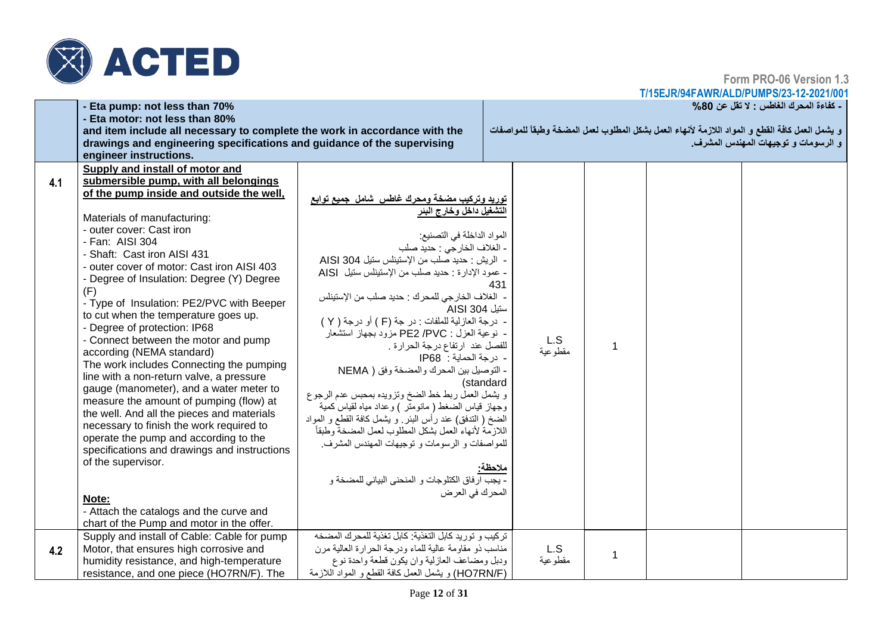

**Form PRO-06 Version 1.3**

**T/15EJR/94FAWR/ALD/PUMPS/23-12-2021/001**

|     | - Eta pump: not less than 70%                                              |                                                           |           |          |              | ـ كفاءة المحرك الغاطس : لا تقل عن 80%                                                           |
|-----|----------------------------------------------------------------------------|-----------------------------------------------------------|-----------|----------|--------------|-------------------------------------------------------------------------------------------------|
|     | - Eta motor: not less than 80%                                             |                                                           |           |          |              |                                                                                                 |
|     | and item include all necessary to complete the work in accordance with the |                                                           |           |          |              | و يشمل العمل كافة القطع و المواد اللازمة لأنهاء العمل بشكل المطلوب لعمل المضخة وطبقاً للمواصفات |
|     | drawings and engineering specifications and guidance of the supervising    |                                                           |           |          |              | و الرسومات و توجيهات المهندس المشرف.                                                            |
|     | engineer instructions.                                                     |                                                           |           |          |              |                                                                                                 |
|     | Supply and install of motor and                                            |                                                           |           |          |              |                                                                                                 |
| 4.1 | submersible pump, with all belongings                                      |                                                           |           |          |              |                                                                                                 |
|     | of the pump inside and outside the well,                                   | توريد وتركيب مضخة ومحرك غاطس شامل جميع توابع              |           |          |              |                                                                                                 |
|     |                                                                            | التشغيل داخل وخارج البئر                                  |           |          |              |                                                                                                 |
|     | Materials of manufacturing:                                                |                                                           |           |          |              |                                                                                                 |
|     | - outer cover: Cast iron                                                   | المواد الداخلة في التصنيع:                                |           |          |              |                                                                                                 |
|     | - Fan: AISI 304                                                            | - الغلاف الخارجي : حديد صلب                               |           |          |              |                                                                                                 |
|     | - Shaft: Cast iron AISI 431                                                | - الريش : حديد صلب من الإستيناس ستيل AISI 304             |           |          |              |                                                                                                 |
|     | - outer cover of motor: Cast iron AISI 403                                 | - عمود الإدارة : حديد صلب من الإستيناس ستيل AISI          |           |          |              |                                                                                                 |
|     | - Degree of Insulation: Degree (Y) Degree                                  |                                                           | 431       |          |              |                                                                                                 |
|     | (F)                                                                        | - الغلاف الخارجي للمحرك : حديد صلب من الإستيناس           |           |          |              |                                                                                                 |
|     | - Type of Insulation: PE2/PVC with Beeper                                  | ستيل 304 AISI                                             |           |          |              |                                                                                                 |
|     | to cut when the temperature goes up.                                       | - درجة العازلية للملفات : در جة (F ) أو درجة ( Y )        |           |          |              |                                                                                                 |
|     | - Degree of protection: IP68                                               | - نوعية العزل : PE2 /PVC مزود بجهاز استشعار               |           |          |              |                                                                                                 |
|     | - Connect between the motor and pump                                       | للفصل عند ارتفاع درجة الحرارة .                           |           | L.S      |              |                                                                                                 |
|     | according (NEMA standard)                                                  | - درجة الحماية : IP68                                     |           | مقطوعية  |              |                                                                                                 |
|     | The work includes Connecting the pumping                                   | - التوصيل بين المحرك والمضخة وفق ( NEMA                   |           |          |              |                                                                                                 |
|     | line with a non-return valve, a pressure                                   |                                                           | (standard |          |              |                                                                                                 |
|     | gauge (manometer), and a water meter to                                    | و يشمل العمل ربط خط الضخ وتزويده بمحبس عدم الرجوع         |           |          |              |                                                                                                 |
|     | measure the amount of pumping (flow) at                                    | وجهاز قياس الضغط ( مانومنر ) وعداد مياه لقياس كمية        |           |          |              |                                                                                                 |
|     | the well. And all the pieces and materials                                 | الضخ ( الندفق) عند رأس البئر ٍ و يشمل كافة القطع و المواد |           |          |              |                                                                                                 |
|     | necessary to finish the work required to                                   | اللازمة لأنهاء العمل بشكل المطلوب لعمل المضخة وطبقأ       |           |          |              |                                                                                                 |
|     | operate the pump and according to the                                      | للمواصفات و الرسومات و توجيهات المهندس المشرف.            |           |          |              |                                                                                                 |
|     | specifications and drawings and instructions                               |                                                           |           |          |              |                                                                                                 |
|     | of the supervisor.                                                         |                                                           | ملاحظة:   |          |              |                                                                                                 |
|     |                                                                            | - يجب ارفاق الكتلوجات و المنحنى البياني للمضخة و          |           |          |              |                                                                                                 |
|     |                                                                            | المحرك في العرض                                           |           |          |              |                                                                                                 |
|     | Note:                                                                      |                                                           |           |          |              |                                                                                                 |
|     | - Attach the catalogs and the curve and                                    |                                                           |           |          |              |                                                                                                 |
|     | chart of the Pump and motor in the offer.                                  |                                                           |           |          |              |                                                                                                 |
|     | Supply and install of Cable: Cable for pump                                | تركيب و توريد كابل التغذية: كابل تغذية للمحرك المضخه      |           |          |              |                                                                                                 |
| 4.2 | Motor, that ensures high corrosive and                                     | مناسب ذو مقاومة عالية للماء ودرجة الحرارة العالية مرن     |           | L.S      | $\mathbf{1}$ |                                                                                                 |
|     | humidity resistance, and high-temperature                                  | ودبل ومضاعف العازلية وان يكون قطعة واحدة نوع              |           | مقطو عية |              |                                                                                                 |
|     | resistance, and one piece (HO7RN/F). The                                   | (HO7RN/F) و يشمل العمل كافة القطع و المواد اللازمة        |           |          |              |                                                                                                 |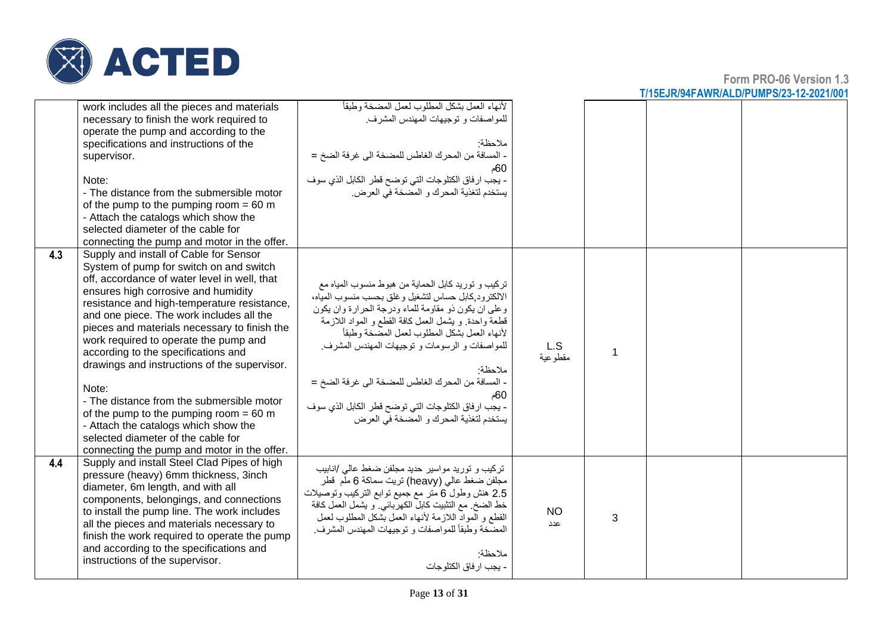

|     | work includes all the pieces and materials<br>necessary to finish the work required to<br>operate the pump and according to the<br>specifications and instructions of the<br>supervisor.<br>Note:<br>- The distance from the submersible motor<br>of the pump to the pumping room = $60 \text{ m}$<br>- Attach the catalogs which show the<br>selected diameter of the cable for<br>connecting the pump and motor in the offer.                                                                                                                                                                                                                                                    | لأنهاء العمل بشكل المطلوب لعمل المضخة وطبقاً<br>للمواصفات و توجيهات المهندس المشرف.<br>ملاحظة·<br>- المسافة من المحرك الغاطس للمضخة الى غرفة الضخ =<br>60م<br>- يجب ارفاق الكتلوجات التي توضح قطر الكابل الذي سوف<br>يستخدم لتغذية المحرك و المضخة في العرض.                                                                                                                                                                                                                                    |                  |   |  |
|-----|------------------------------------------------------------------------------------------------------------------------------------------------------------------------------------------------------------------------------------------------------------------------------------------------------------------------------------------------------------------------------------------------------------------------------------------------------------------------------------------------------------------------------------------------------------------------------------------------------------------------------------------------------------------------------------|-------------------------------------------------------------------------------------------------------------------------------------------------------------------------------------------------------------------------------------------------------------------------------------------------------------------------------------------------------------------------------------------------------------------------------------------------------------------------------------------------|------------------|---|--|
| 4.3 | Supply and install of Cable for Sensor<br>System of pump for switch on and switch<br>off, accordance of water level in well, that<br>ensures high corrosive and humidity<br>resistance and high-temperature resistance,<br>and one piece. The work includes all the<br>pieces and materials necessary to finish the<br>work required to operate the pump and<br>according to the specifications and<br>drawings and instructions of the supervisor.<br>Note:<br>- The distance from the submersible motor<br>of the pump to the pumping room $= 60$ m<br>- Attach the catalogs which show the<br>selected diameter of the cable for<br>connecting the pump and motor in the offer. | تركيب و توريد كابل الحماية من هبوط منسوب المياه مع<br>الالكترود كابل حساس لتشغيل وغلق بحسب منسوب المياه،<br>وعلى ان يكون ذو مقاومة للماء ودرجة الحرارة وان يكون<br>قطعة واحدة ويشمل العمل كافة القطع و المواد اللازمة<br>لأنهاء العمل بشكل المطلوب لعمل المصخة وطبقاً<br>للمواصفات و الرسومات و توجیهات المهندس المشرف.<br>ملاحظة·<br>- المسافة من المحرك الغاطس للمضخة الى غرفة الضخ =<br>60م<br>- يجب ارفاق الكتلوجات التي توضح قطر الكابل الذي سوف<br>يستخدم لتغذية المحرك و المضخة في العرض | L.S<br>مقطو عية  | 1 |  |
| 4.4 | Supply and install Steel Clad Pipes of high<br>pressure (heavy) 6mm thickness, 3inch<br>diameter, 6m length, and with all<br>components, belongings, and connections<br>to install the pump line. The work includes<br>all the pieces and materials necessary to<br>finish the work required to operate the pump<br>and according to the specifications and<br>instructions of the supervisor.                                                                                                                                                                                                                                                                                     | تركيب و توريد مواسير حديد مجلفن ضغط عالمي /انابيب<br>مجلفن ضغط عالي (heavy) تريت سماكة 6 ملّم  قطر<br>2.5 هنش وطول 6 منز مع جميع نوابع النركيب ونوصيلات<br>خط الضخ. مع التثبيت كابل الكهربائي. و يشمل العمل كافة<br>القطع و الموادُّ اللازمة لأنهاء العمل بُشكل المطلوب لعمل<br>المضخة وطبقأ للمواصفات و توجيهات المهندس المشرف.<br>ملاحظة<br>- بجب ار فاق الكتلو جات                                                                                                                           | <b>NO</b><br>عدد | 3 |  |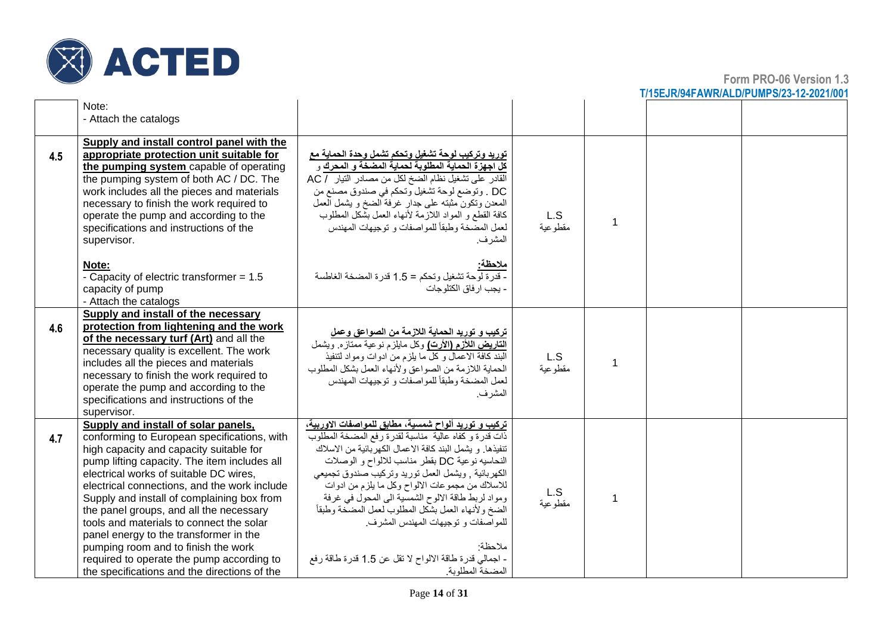

|     | Note:<br>- Attach the catalogs                                                                                                                                                                                                                                                                                                                                                                                                                                                                                                                                                             |                                                                                                                                                                                                                                                                                                                                                                                                                                                                                                                                                                                |                 |                |  |
|-----|--------------------------------------------------------------------------------------------------------------------------------------------------------------------------------------------------------------------------------------------------------------------------------------------------------------------------------------------------------------------------------------------------------------------------------------------------------------------------------------------------------------------------------------------------------------------------------------------|--------------------------------------------------------------------------------------------------------------------------------------------------------------------------------------------------------------------------------------------------------------------------------------------------------------------------------------------------------------------------------------------------------------------------------------------------------------------------------------------------------------------------------------------------------------------------------|-----------------|----------------|--|
| 4.5 | Supply and install control panel with the<br>appropriate protection unit suitable for<br>the pumping system capable of operating<br>the pumping system of both AC / DC. The<br>work includes all the pieces and materials<br>necessary to finish the work required to<br>operate the pump and according to the<br>specifications and instructions of the<br>supervisor.                                                                                                                                                                                                                    | توريد وتركيب لوحة تشغيل وتحكم تشمل وحدة الحماية مع<br>.<br>كل اجهزة الحماية المطلوبة لحماية المضخة و المحرك و<br>القادر على تشغيل نظام الضخ لكل من مصادر النيار / AC<br>DC . وتوضع لوحة تشغيل وتحكم في صندوق مصنع من<br>المعدن وتكون مثبته على جدار غرفة الضخ و يشمل العمل<br>كافة القطع و المواد اللازمة لأنهاء العمل بشكل المطلوب<br>لعمل المضخة وطبقأ للمواصفات و توجيهات المهندس<br>المشر ف.                                                                                                                                                                               | L.S<br>مقطوعية  | 1              |  |
|     | Note:<br>- Capacity of electric transformer = 1.5<br>capacity of pump<br>- Attach the catalogs                                                                                                                                                                                                                                                                                                                                                                                                                                                                                             | ملاحظة:<br>- قدرة لوحة تشغيل وتحكم = 1.5 قدرة المضخة الغاطسة<br>- يجب ار فاق الكتلو جات                                                                                                                                                                                                                                                                                                                                                                                                                                                                                        |                 |                |  |
| 4.6 | Supply and install of the necessary<br>protection from lightening and the work<br>of the necessary turf (Art) and all the<br>necessary quality is excellent. The work<br>includes all the pieces and materials<br>necessary to finish the work required to<br>operate the pump and according to the<br>specifications and instructions of the<br>supervisor.                                                                                                                                                                                                                               | تركيب و توريد الحماية اللازمة من الصواعق وعمل<br>القاريض اللأزم (الأرت) وكل مايلزم نوعية ممتازه <sub>. و</sub> يشمل<br>البند كافة الاعمال وكل ما بلزم من ادوات ومواد لتنفيذ<br>الحماية اللازمة من الصواعق ولأنهاء العمل بشكل المطلوب<br>لعمل المضخة وطبقأ للمواصفات و توجيهات المهندس<br>المشر ف.                                                                                                                                                                                                                                                                              | L.S<br>مقطوعية  | $\overline{1}$ |  |
| 4.7 | Supply and install of solar panels,<br>conforming to European specifications, with<br>high capacity and capacity suitable for<br>pump lifting capacity. The item includes all<br>electrical works of suitable DC wires,<br>electrical connections, and the work include<br>Supply and install of complaining box from<br>the panel groups, and all the necessary<br>tools and materials to connect the solar<br>panel energy to the transformer in the<br>pumping room and to finish the work<br>required to operate the pump according to<br>the specifications and the directions of the | تركيب و توريد ألواح شمسية، مطابق للمواصفات الاوربية،<br>ذات قدرة وكفاه عالية مناسبة لقدرة رفع المضخة المطلوب<br>تنفيذها. و يشمل البند كافة الاعمال الكهربائية من الاسلاك<br>النحاسيه نوعية DC بقطر مناسب للالواح و الوصلات<br>الكهربائية , ويشمل العمل توريد وتركيب صندوق تجميعي<br>للاسلاك من مجموعات الالواح وكل ما يلزم من ادوات<br>ومواد لربط طاقة الالوح الشمسية الى المحول في غرفة<br>الضخ ولأنهاء العمل بشكل المطلوب لعمل المضخة وطبقأ<br>للمو اصفات و توجيهات المهندس المشرف.<br>ملاحظة·<br>- اجمالي قدرة طاقة الالواح لا تقل عن 1.5 قدرة طاقة رفع<br>المضخة المطلوبة. | L.S<br>مقطو عية | 1              |  |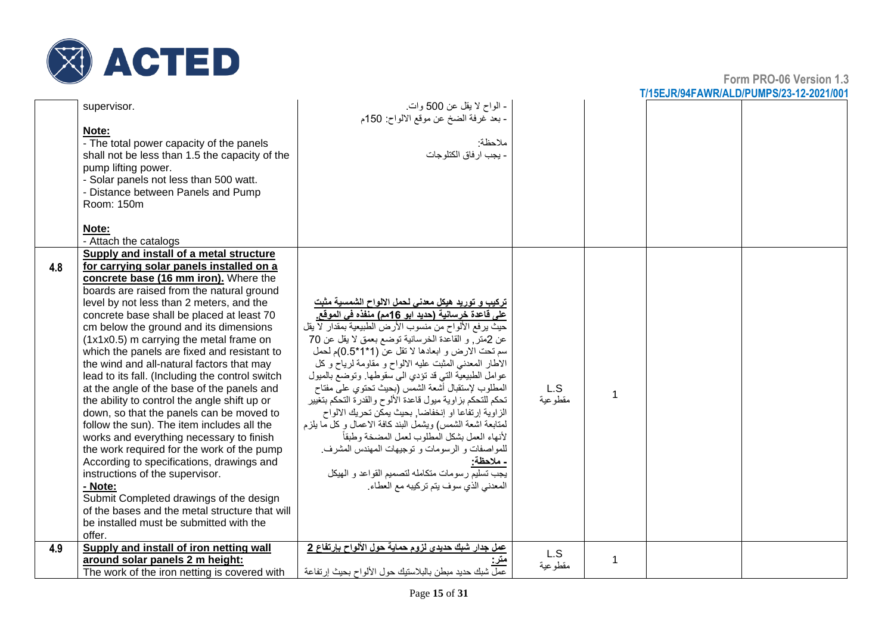

|     | supervisor.                                     | - الواح لا يقل عن 500 وات.<br>ـ بعد غرفة الضخ عن موقع الالواح: 150م                                     |          |             |  |
|-----|-------------------------------------------------|---------------------------------------------------------------------------------------------------------|----------|-------------|--|
|     | Note:                                           |                                                                                                         |          |             |  |
|     | - The total power capacity of the panels        | ملاحظة:                                                                                                 |          |             |  |
|     | shall not be less than 1.5 the capacity of the  | - يجب ار فاق الكتلوجات                                                                                  |          |             |  |
|     | pump lifting power.                             |                                                                                                         |          |             |  |
|     | - Solar panels not less than 500 watt.          |                                                                                                         |          |             |  |
|     | - Distance between Panels and Pump              |                                                                                                         |          |             |  |
|     | Room: 150m                                      |                                                                                                         |          |             |  |
|     |                                                 |                                                                                                         |          |             |  |
|     | Note:                                           |                                                                                                         |          |             |  |
|     | - Attach the catalogs                           |                                                                                                         |          |             |  |
|     | Supply and install of a metal structure         |                                                                                                         |          |             |  |
| 4.8 | for carrying solar panels installed on a        |                                                                                                         |          |             |  |
|     | concrete base (16 mm iron). Where the           |                                                                                                         |          |             |  |
|     | boards are raised from the natural ground       |                                                                                                         |          |             |  |
|     | level by not less than 2 meters, and the        | <u>تركيب و توري</u> د هيكل معدنى لحمل الالواح الشمسية مثبت                                              |          |             |  |
|     | concrete base shall be placed at least 70       | على فَاعدة خرسانية (حديد ابو 16مم) منفذه في الموقع.                                                     |          |             |  |
|     | cm below the ground and its dimensions          | حيث يرفع الألواح من منسوب الأرض الطبيعية بمقدار لا يقل                                                  |          |             |  |
|     | (1x1x0.5) m carrying the metal frame on         | عن 2متر, و القاعدة الخرسانية توضع بعمق لا يقل عن 70                                                     |          |             |  |
|     | which the panels are fixed and resistant to     | سم تحت الارض و ابعادها لا تقل عن (1*1*0.5)م لحمل                                                        |          |             |  |
|     | the wind and all-natural factors that may       | الاطار المعدني المثبت عليه الالواح و مقاومة لرياح وكل                                                   |          |             |  |
|     |                                                 | عوامل الطبيعية التي قد تؤدي الى سقوطها. وتوضع بالميول                                                   |          |             |  |
|     | lead to its fall. (Including the control switch | المطلوب لإستقبال أشعة الشمس (بحيث تحتوي على مفتاح                                                       | L.S      |             |  |
|     | at the angle of the base of the panels and      |                                                                                                         | مقطو عية | 1           |  |
|     | the ability to control the angle shift up or    | تحكم للتحكم بزاوية ميول فاعدة الألوح والقدرة التحكم بتغيير                                              |          |             |  |
|     | down, so that the panels can be moved to        | الزاوية إرتفاعا او إنخفاضا, بحيث يمكن تحريك الالواح                                                     |          |             |  |
|     | follow the sun). The item includes all the      | لمتابعة اشعة الشمس) ويشمل البند كافة الاعمال وكل ما يلزم<br>لأنهاء العمل بشكل المطلوب لعمل المضخة وطبقأ |          |             |  |
|     | works and everything necessary to finish        |                                                                                                         |          |             |  |
|     | the work required for the work of the pump      | للمواصفات و الرسومات و توجيهات المهندس المشرف.                                                          |          |             |  |
|     | According to specifications, drawings and       | ـ ملاحظة:                                                                                               |          |             |  |
|     | instructions of the supervisor.                 | بعب تسليم رسومات متكامله لتصميم القواعد و الهيكل                                                        |          |             |  |
|     | - Note:                                         | المعدني الذي سوف يتم تركيبه مع العطاء.                                                                  |          |             |  |
|     | Submit Completed drawings of the design         |                                                                                                         |          |             |  |
|     | of the bases and the metal structure that will  |                                                                                                         |          |             |  |
|     | be installed must be submitted with the         |                                                                                                         |          |             |  |
|     | offer.                                          |                                                                                                         |          |             |  |
| 4.9 | Supply and install of iron netting wall         | عمل جدار شبك حديدي لزوم حماية حول الألواح بإرتفاع 2                                                     | L.S      |             |  |
|     | around solar panels 2 m height:                 |                                                                                                         | مقطوعية  | $\mathbf 1$ |  |
|     | The work of the iron netting is covered with    | عمل شبك حديد مبطن بالبلاستيك حول الألواح بحيث إر تفاعة                                                  |          |             |  |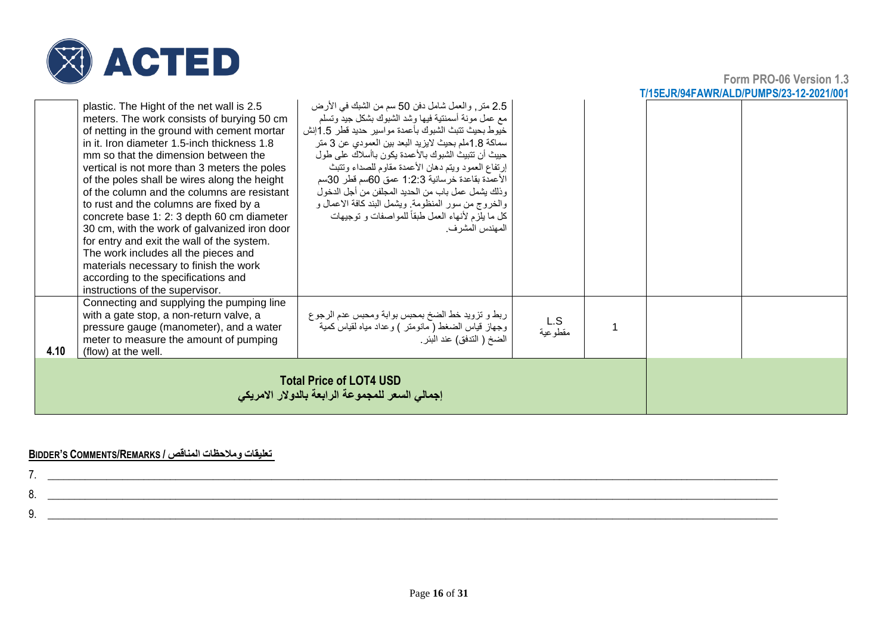

**Form PRO-06 Version 1.3 T/15EJR/94FAWR/ALD/PUMPS/23-12-2021/001**

|      | plastic. The Hight of the net wall is 2.5<br>meters. The work consists of burying 50 cm<br>of netting in the ground with cement mortar<br>in it. Iron diameter 1.5-inch thickness 1.8<br>mm so that the dimension between the<br>vertical is not more than 3 meters the poles<br>of the poles shall be wires along the height<br>of the column and the columns are resistant<br>to rust and the columns are fixed by a<br>concrete base 1: 2: 3 depth 60 cm diameter<br>30 cm, with the work of galvanized iron door<br>for entry and exit the wall of the system.<br>The work includes all the pieces and<br>materials necessary to finish the work<br>according to the specifications and<br>instructions of the supervisor. | 2.5 متر, والعمل شامل دفن 50 سم من الشبك في الأرض<br>مع عمل مونة أسمنتية فيها وشد الشبوك بشكل جيد وتسلم<br>خيوط بحيث تتبث الشبوك بأعمدة مواسير حديد قطر 1.5إنش<br>سماكة 1.8ملم بحيث لايزيد البعد بين العمودي عن 3 متر<br>حييث أن تتبيث الشبوك بالأعمدة يكون باأسلاك على طول<br>إرتفاع العمود ويتم دهان الأعمدة مقاوم للصداء وتتبث<br>الأعمدة بقاعدة خرسانية 1:2:3 عمق 60سم قطر 30سم<br>وذلك يشمل عمل باب من الحديد المجلفن من أجل الدخول<br>والخروج من سور المنظومة. ويشمل البند كافة الاعمال و<br>كل ما يلزم لأنهاء العمل طبقاً للمواصفات و توجيهات<br>المهندس المشر ف. |                |  |  |  |
|------|--------------------------------------------------------------------------------------------------------------------------------------------------------------------------------------------------------------------------------------------------------------------------------------------------------------------------------------------------------------------------------------------------------------------------------------------------------------------------------------------------------------------------------------------------------------------------------------------------------------------------------------------------------------------------------------------------------------------------------|-------------------------------------------------------------------------------------------------------------------------------------------------------------------------------------------------------------------------------------------------------------------------------------------------------------------------------------------------------------------------------------------------------------------------------------------------------------------------------------------------------------------------------------------------------------------------|----------------|--|--|--|
| 4.10 | Connecting and supplying the pumping line<br>with a gate stop, a non-return valve, a<br>pressure gauge (manometer), and a water<br>meter to measure the amount of pumping<br>(flow) at the well.                                                                                                                                                                                                                                                                                                                                                                                                                                                                                                                               | ربط و نزويد خط الضخ بمحبس بوابة ومحبس عدم الرجوع<br>وجهاز قياس الضغط ( مانومتر ) وعداد مياه لقياس كمية<br>الضخ ( التدفق) عند البئر                                                                                                                                                                                                                                                                                                                                                                                                                                      | L.S<br>مقطوعية |  |  |  |
|      | <b>Total Price of LOT4 USD</b><br>إجمالي السعر للمجموعة الرابعة بالدولار الامريكي                                                                                                                                                                                                                                                                                                                                                                                                                                                                                                                                                                                                                                              |                                                                                                                                                                                                                                                                                                                                                                                                                                                                                                                                                                         |                |  |  |  |

#### **BIDDER'S COMMENTS/REMARKS / المناقص ومالحظات تعليقات**

| v |  |
|---|--|
|   |  |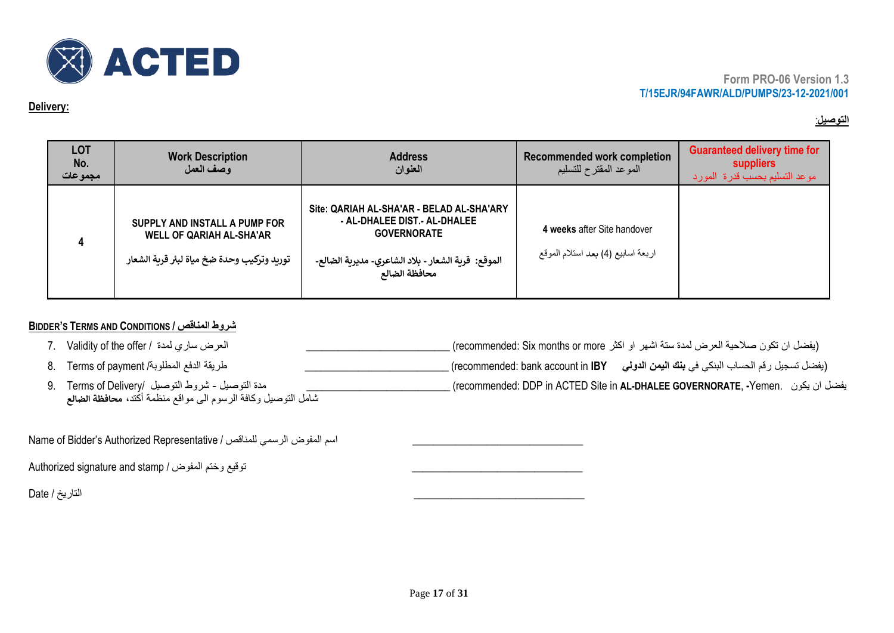

#### **Delivery:**

## **التوصيل** :

| <b>LOT</b><br>No.<br>مجموعات | <b>Work Description</b><br>وصف العمل                                                                           | <b>Address</b><br>العنوان                                                                                                                                               | <b>Recommended work completion</b><br>الموعد المقترح للتسليم      | <b>Guaranteed delivery time for</b><br>suppliers<br>موعد التسليم بحسب قدرة المورد |
|------------------------------|----------------------------------------------------------------------------------------------------------------|-------------------------------------------------------------------------------------------------------------------------------------------------------------------------|-------------------------------------------------------------------|-----------------------------------------------------------------------------------|
|                              | SUPPLY AND INSTALL A PUMP FOR<br><b>WELL OF QARIAH AL-SHA'AR</b><br>توريد وتركيب وحدة ضخ مياة لبئر قرية الشعار | Site: QARIAH AL-SHA'AR - BELAD AL-SHA'ARY<br>- AL-DHALEE DIST.- AL-DHALEE<br><b>GOVERNORATE</b><br>الموقع:  قرية الشعار - بلاد الشاعري- مديرية الضالع-<br>محافظة الضالع | 4 weeks after Site handover<br>اربعة اسابيع (4) بعد استلام الموقع |                                                                                   |

## **BIDDER'S TERMS AND CONDITIONS / المناقص شروط**

| العرض ساري لمدة / Validity of the offer                       | (يفضل ان تكون صلاحية العرض لمدة ستة اشهر او اكثر recommended: Six months or more) ِ                          |
|---------------------------------------------------------------|--------------------------------------------------------------------------------------------------------------|
| طريقة الدفع المطلوبة/ 8.     Terms of payment                 | ـ (يفضل تسجيل رقم الحساب البنكي في <b>بنك اليمن الدولي       r</b> ecommended: bank account in <b>IBY)</b> . |
| مدة التوصيل ـ شروط التوصيل /Terms of Delivery .               | _ يفضل ان يكون   .recommended: DDP in ACTED Site in <b>AL-DHALEE GOVERNORATE, -</b> Yemen )                  |
| شامل التوصيل وكافة الرسوم الى مواقع منظمة أكتد، محافظة الضالع |                                                                                                              |

Name of Bidder's Authorized Representative / للمناقص الرسمي المفوض اسم\_\_\_\_\_\_\_\_\_\_\_\_\_\_\_\_\_\_\_\_\_\_\_\_\_\_\_\_\_\_\_\_

Authorized signature and stamp / توقيع وختم المفوض /

\_\_\_\_\_\_\_\_\_\_\_\_\_\_\_\_\_\_\_\_\_\_\_\_\_\_\_\_\_\_\_\_ التاريخ / Date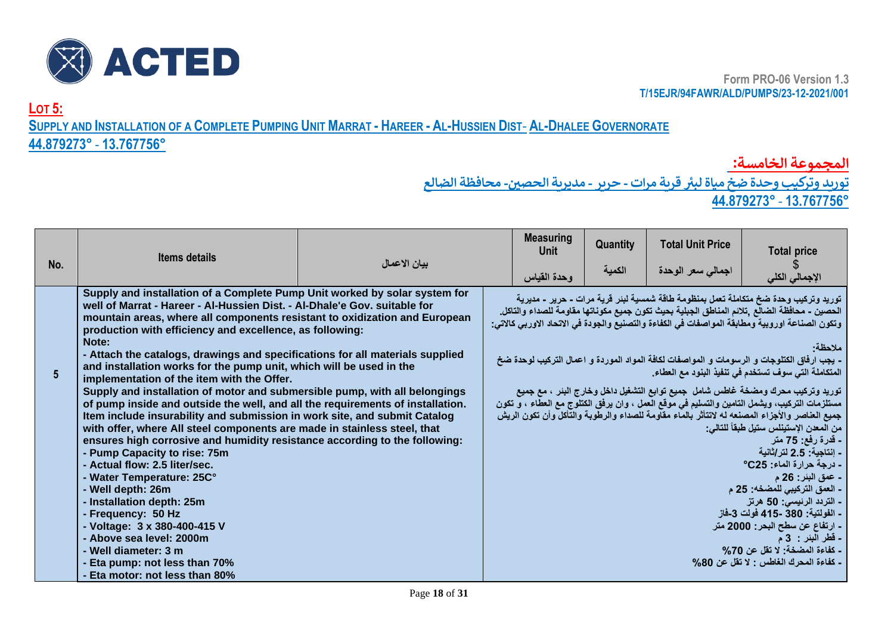

**LOT 5:**

SUPPLY AND INSTALLATION OF A COMPLETE PUMPING UNIT MARRAT - HAREER - AL-HUSSIEN DIST- AL-DHALEE GOVERNORATE

## **44.879273°** - **13.767756°**

**المجموعة الخامسة:**

 **توريد وتركيب وحدة ضخ مياة لبت قرية مرات - حرير - مديرية الحص ي- محافظة الضالع ز**

**44.879273°** - **13.767756°**

| No. | <b>Items details</b>                                                                                                                                                                                                                                                                                                                                                                                                                                                                                                                                                                                                                                                                                                                                                                                                                                                                                                                                                                                                                                                                                                                                    | بيان الاعمال | <b>Measuring</b><br>Unit<br>وحدة القياس | <b>Quantity</b><br>الكمية | <b>Total Unit Price</b><br>اجمالى سعر الوحدة | <b>Total price</b>                                                                                                                                                                                                                                                                                                                                                                                                                                                                                                                                                                                                                                                                                                                                                                                                                                                                                                                                                                                                                                                                  |
|-----|---------------------------------------------------------------------------------------------------------------------------------------------------------------------------------------------------------------------------------------------------------------------------------------------------------------------------------------------------------------------------------------------------------------------------------------------------------------------------------------------------------------------------------------------------------------------------------------------------------------------------------------------------------------------------------------------------------------------------------------------------------------------------------------------------------------------------------------------------------------------------------------------------------------------------------------------------------------------------------------------------------------------------------------------------------------------------------------------------------------------------------------------------------|--------------|-----------------------------------------|---------------------------|----------------------------------------------|-------------------------------------------------------------------------------------------------------------------------------------------------------------------------------------------------------------------------------------------------------------------------------------------------------------------------------------------------------------------------------------------------------------------------------------------------------------------------------------------------------------------------------------------------------------------------------------------------------------------------------------------------------------------------------------------------------------------------------------------------------------------------------------------------------------------------------------------------------------------------------------------------------------------------------------------------------------------------------------------------------------------------------------------------------------------------------------|
| 5   | Supply and installation of a Complete Pump Unit worked by solar system for<br>well of Marrat - Hareer - Al-Hussien Dist. - Al-Dhale'e Gov. suitable for<br>mountain areas, where all components resistant to oxidization and European<br>production with efficiency and excellence, as following:<br>Note:<br>- Attach the catalogs, drawings and specifications for all materials supplied<br>and installation works for the pump unit, which will be used in the<br>implementation of the item with the Offer.<br>Supply and installation of motor and submersible pump, with all belongings<br>of pump inside and outside the well, and all the requirements of installation.<br>Item include insurability and submission in work site, and submit Catalog<br>with offer, where All steel components are made in stainless steel, that<br>ensures high corrosive and humidity resistance according to the following:<br>- Pump Capacity to rise: 75m<br>- Actual flow: 2.5 liter/sec.<br>- Water Temperature: 25C°<br>- Well depth: 26m<br>Installation depth: 25m<br>- Frequency: 50 Hz<br>- Voltage: 3 x 380-400-415 V<br>- Above sea level: 2000m |              |                                         |                           |                                              | الإجمالي الكلي<br>توريد وتركيب وحدة ضخ متكاملة تعمل بمنظومة طاقة شمسية لبئر فرية مرات - حرير - مديرية<br>الحصين ـ محافظة الضالع ,تلانم المناطق الجبلية بحيث تكون جميع مكوناتها مقاومة للصداء والتاكل.<br>وتكون الصناعة اوروبية ومطابقة المواصفات في الكفاءة والتصنيع والجودة في الاتحاد الاوربي كالاتي:<br>ملاحظة<br>- بجب ارفاق الكتلوجات و الرسومات و المواصفات لكافة المواد الموردة و اعمال التركيب لوحدة ضخ<br>المتكاملة التي سوف تستخدم في تنفيذ البنود مع العطاء.<br>توريد وتركيب محرك ومضخة غاطس شامل جميع توابع التشغيل داخل وخارج البنر ، مع جميع<br>مستلزمات التركيب، ويشمل التامين والتسليم في موقع العمل ، وان يرفق الكتلوج مع العطاء ، و تكون<br>جميع العناصر والأجزاء المصنعه له لاتنأثر بالماء مقاومة للصداء والرطوبة والنأكل وأن تكون الريش<br>من المعدن الإستينلس ستيل طبقاً للتالي:<br>َ - قَدرة رفع: 75 متر<br>- اِنتاجية: 2.5 لتر/ثانية<br>- درجة حرارة الماء: 25°<br>- ع <i>مق</i> البئر: 26 م<br>- العمق التركيبي للمضخه: 25 م<br>- التردد الرئيسي: 50 هرتز<br>- الفولتية: 380 -415 فولت 3-فاز<br>ـ ارتفاع عن سطح البحر: 2000 متر<br><b>- قطر البئر : 3 م</b> |
|     | - Well diameter: 3 m<br>Eta pump: not less than 70%<br>Eta motor: not less than 80%                                                                                                                                                                                                                                                                                                                                                                                                                                                                                                                                                                                                                                                                                                                                                                                                                                                                                                                                                                                                                                                                     |              |                                         |                           |                                              | - كفاءة المضخة: لا تقل عن 70%<br>- كفاءة المحرك الغاطس : لا تقل عن 80%                                                                                                                                                                                                                                                                                                                                                                                                                                                                                                                                                                                                                                                                                                                                                                                                                                                                                                                                                                                                              |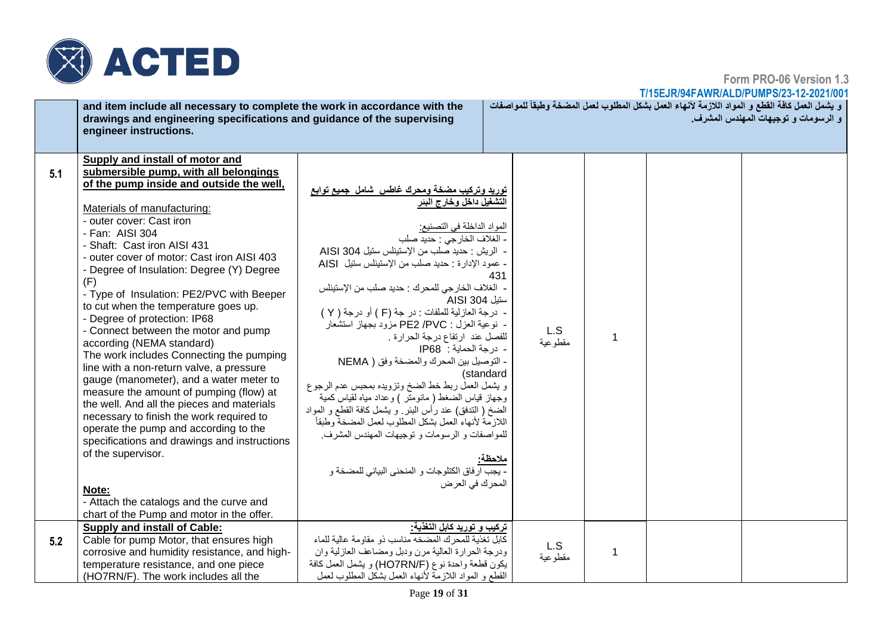

**Form PRO-06 Version 1.3**

|     | and item include all necessary to complete the work in accordance with the<br>drawings and engineering specifications and guidance of the supervising<br>engineer instructions.                                                                                                                                                                                                                                                                                                                                                                                                                                                                                                                                                                                                                                                                                                                                                                                                                                       |                                                                                                                                                                                                                                                                                                                                                                                                                                                                                                                                                                                                                                                                                                                                                                                                                                                                                    |                                    |                 |                | و يشمل العمل كافة القطع و المواد اللازمة لأنهاء العمل بشكل المطلوب لعمل المضخة وطبقاً للمواصفات<br>و الرسومات و توجيهات المهندس المشرف. |
|-----|-----------------------------------------------------------------------------------------------------------------------------------------------------------------------------------------------------------------------------------------------------------------------------------------------------------------------------------------------------------------------------------------------------------------------------------------------------------------------------------------------------------------------------------------------------------------------------------------------------------------------------------------------------------------------------------------------------------------------------------------------------------------------------------------------------------------------------------------------------------------------------------------------------------------------------------------------------------------------------------------------------------------------|------------------------------------------------------------------------------------------------------------------------------------------------------------------------------------------------------------------------------------------------------------------------------------------------------------------------------------------------------------------------------------------------------------------------------------------------------------------------------------------------------------------------------------------------------------------------------------------------------------------------------------------------------------------------------------------------------------------------------------------------------------------------------------------------------------------------------------------------------------------------------------|------------------------------------|-----------------|----------------|-----------------------------------------------------------------------------------------------------------------------------------------|
| 5.1 | Supply and install of motor and<br>submersible pump, with all belongings<br>of the pump inside and outside the well,<br>Materials of manufacturing:<br>- outer cover: Cast iron<br>- Fan: AISI 304<br>- Shaft: Cast iron AISI 431<br>- outer cover of motor: Cast iron AISI 403<br>- Degree of Insulation: Degree (Y) Degree<br>(F)<br>- Type of Insulation: PE2/PVC with Beeper<br>to cut when the temperature goes up.<br>- Degree of protection: IP68<br>- Connect between the motor and pump<br>according (NEMA standard)<br>The work includes Connecting the pumping<br>line with a non-return valve, a pressure<br>gauge (manometer), and a water meter to<br>measure the amount of pumping (flow) at<br>the well. And all the pieces and materials<br>necessary to finish the work required to<br>operate the pump and according to the<br>specifications and drawings and instructions<br>of the supervisor.<br>Note:<br>- Attach the catalogs and the curve and<br>chart of the Pump and motor in the offer. | توريد وتركيب مضخة ومحرك غاطس شامل جميع توابع<br>التشغيل داخل وخارج البئر<br>المواد الداخلة في التصنيع:<br>- الغلاف الخارجي : حديد صلب<br>- الريش : حديد صلب من الإستيناس ستيل AISI 304<br>- عمود الإدارة : حديد صلب من الإستيناس سنيل AISI<br>- الغلاف الخارجي للمحرك : حديد صلب من الإستينلس<br>ستيل AISI 304<br>- درجة العازلية للملفات : در جة (F ) أو درجة ( Y )<br>- نوعية العزل : PE2 /PVC مزود بجهاز استشعار<br>للفصل عند ارتفاع درجة الحرارة .<br>- درجة الحماية : IP68<br>- التوصيل بين المحرك والمضخة وفق ( NEMA<br>و يشمل العمل ربط خط الضخ وتزويده بمحبس عدم الرجوع<br>وجهاز قياس الضغط ( مانومنر ) وعداد مياه لقياس كمية<br>الضخ ( الندفق) عند رأس البئر ٍ و يشمل كافة القطع و المواد<br>اللازمة لأنهاء العمل بشكل المطلوب لعمل المضخة وطبقأ<br>للمواصفات و الرسومات و توجيهات المهندس المشرف.<br>- يجب ارفاق الكتلوجات و المنحنى البياني للمضخة و<br>المحرك في العرض | 431<br>(standard<br><u> ملاحظة</u> | L.S<br>مقطو عية | $\overline{1}$ |                                                                                                                                         |
| 5.2 | <b>Supply and install of Cable:</b><br>Cable for pump Motor, that ensures high<br>corrosive and humidity resistance, and high-<br>temperature resistance, and one piece<br>(HO7RN/F). The work includes all the                                                                                                                                                                                                                                                                                                                                                                                                                                                                                                                                                                                                                                                                                                                                                                                                       | تركيب و توريد كابل التغذية:<br>كابل تغذية للمحرك المضخه مناسب ذو مقاومة عالية للماء<br>ودرجة الحرارة العالية مرن ودبل ومضاعف العازلية وان<br>يكون قطعة واحدة نوع (HO7RN/F) و يشمل العمل كافة<br>القطع و المواد اللازمة لأنهاء العمل بشكل المطلوب لعمل                                                                                                                                                                                                                                                                                                                                                                                                                                                                                                                                                                                                                              |                                    | L.S<br>مقطوعية  | 1              |                                                                                                                                         |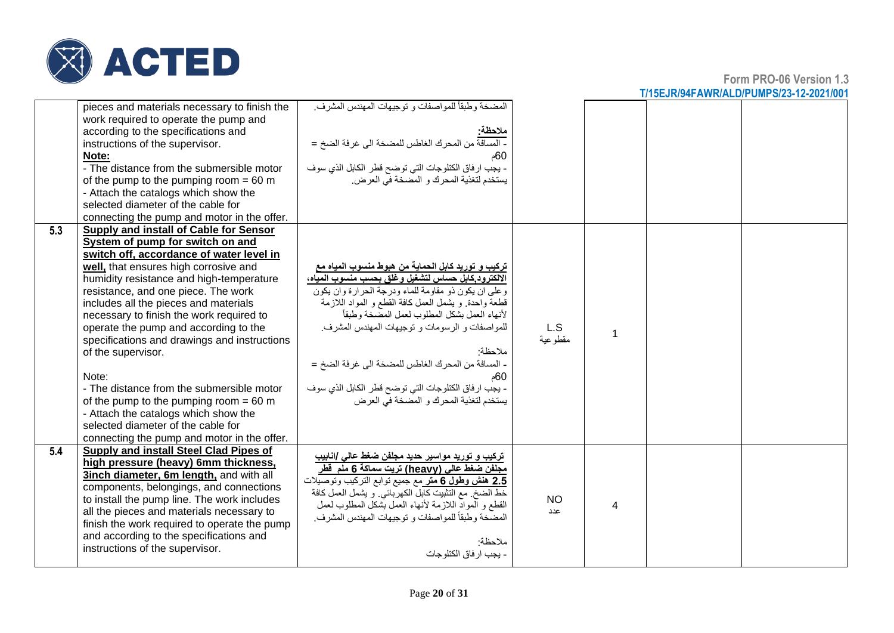

|     | pieces and materials necessary to finish the<br>work required to operate the pump and<br>according to the specifications and<br>instructions of the supervisor.<br>Note:<br>- The distance from the submersible motor<br>of the pump to the pumping room $= 60$ m<br>- Attach the catalogs which show the<br>selected diameter of the cable for<br>connecting the pump and motor in the offer.                                                                                                                                                                                                                                                                                        | المضخة وطبقاً للمواصفات و توجيهات المهندس المشرف.<br>ملاحظة:<br>- المسافة من المحرك الغاطس للمضخة الى غرفة الضخ =<br>- يجب ارفاق الكتلوجات التي توضح قطر الكابل الذي سوف<br>يستخدم لتغذية المحرك و المضخة في العرض.                                                                                                                                                                                                                                                                                 |                  |   |  |
|-----|---------------------------------------------------------------------------------------------------------------------------------------------------------------------------------------------------------------------------------------------------------------------------------------------------------------------------------------------------------------------------------------------------------------------------------------------------------------------------------------------------------------------------------------------------------------------------------------------------------------------------------------------------------------------------------------|-----------------------------------------------------------------------------------------------------------------------------------------------------------------------------------------------------------------------------------------------------------------------------------------------------------------------------------------------------------------------------------------------------------------------------------------------------------------------------------------------------|------------------|---|--|
| 5.3 | Supply and install of Cable for Sensor<br>System of pump for switch on and<br>switch off, accordance of water level in<br>well, that ensures high corrosive and<br>humidity resistance and high-temperature<br>resistance, and one piece. The work<br>includes all the pieces and materials<br>necessary to finish the work required to<br>operate the pump and according to the<br>specifications and drawings and instructions<br>of the supervisor.<br>Note:<br>- The distance from the submersible motor<br>of the pump to the pumping room $= 60$ m<br>- Attach the catalogs which show the<br>selected diameter of the cable for<br>connecting the pump and motor in the offer. | تركيب و توريد كابل الحماية من هبوط منسوب المياه مع<br>الالكترود كابل حساس لتشغيل وغلق بحسب منسوب المياه،<br>وعلى ان يكون ذو مقاومة للماء ودرجة الحرارة وان يكون<br>قطعة واحدة. و يشمل العمل كافة القطع و المواد اللازمة<br>لأنهاء العمل بشكل المطلوب لعمل المصّنخة وطبقاً<br>للمواصفات و الرسومات و توجيهات المهندس المشرف.<br>ملاحظة·<br>- المسافة من المحرك الغاطس للمضخة الى غرفة الضخ =<br>60م<br>- يجب ارفاق الكتلوجات التي توضح قطر الكابل الذي سوف<br>يستخدم لتغذية المحرك و المضخة في العرض | L.S<br>مقطوعية   |   |  |
| 5.4 | Supply and install Steel Clad Pipes of<br>high pressure (heavy) 6mm thickness,<br>3inch diameter, 6m length, and with all<br>components, belongings, and connections<br>to install the pump line. The work includes<br>all the pieces and materials necessary to<br>finish the work required to operate the pump<br>and according to the specifications and<br>instructions of the supervisor.                                                                                                                                                                                                                                                                                        | ترکیب و تورید مواسیر حدید مجلفن ضغط عالی /انابیب<br>مجلفن ضغط عالي (heavy) تريت سماكة 6 ملم  قطر<br><u>2.5</u> ه <b>نش وطول 6 متر</b> مع جميع توابع التركيب وتوصيلات<br>خط الضخ ٍ مع التثبيت كابل الكهربائي ٍ و يشمل العمل كافة<br>القطع و المواد اللازمة لأنهاء العمل بشكل المطلوب لعمل<br>المضَّخة وطبقاً للمواصفات و توجيهات المهندس المشرف.<br>ملاحظة<br>- يجب ار فاق الكتلوجات                                                                                                                 | <b>NO</b><br>عدد | 4 |  |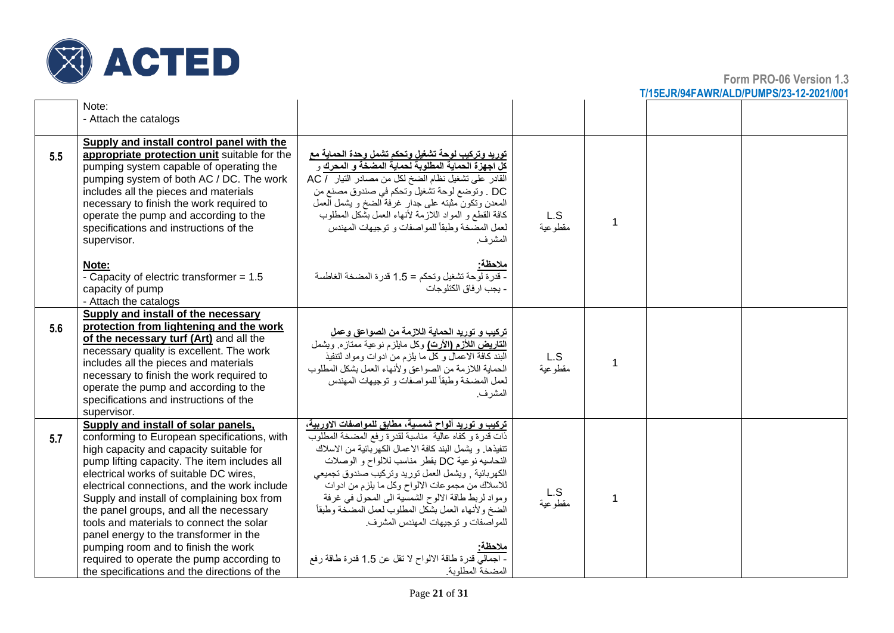

|     | Note:<br>- Attach the catalogs                                                                                                                                                                                                                                                                                                                                                                                                                                                                                                                                                             |                                                                                                                                                                                                                                                                                                                                                                                                                                                                                                                                                                               |                 |                |  |
|-----|--------------------------------------------------------------------------------------------------------------------------------------------------------------------------------------------------------------------------------------------------------------------------------------------------------------------------------------------------------------------------------------------------------------------------------------------------------------------------------------------------------------------------------------------------------------------------------------------|-------------------------------------------------------------------------------------------------------------------------------------------------------------------------------------------------------------------------------------------------------------------------------------------------------------------------------------------------------------------------------------------------------------------------------------------------------------------------------------------------------------------------------------------------------------------------------|-----------------|----------------|--|
| 5.5 | Supply and install control panel with the<br>appropriate protection unit suitable for the<br>pumping system capable of operating the<br>pumping system of both AC / DC. The work<br>includes all the pieces and materials<br>necessary to finish the work required to<br>operate the pump and according to the<br>specifications and instructions of the<br>supervisor.                                                                                                                                                                                                                    | توريد وتركيب لوحة تشغيل وتحكم تشمل وحدة الحماية مع<br>القادر على تشغيل نظام الضخ لكل من مصادر النيار / AC<br>DC . وتوضع لوحة تشغيل وتحكم في صندوق مصنع من<br>المعدن وتكون مثبته على جدار غرفة الضخ و يشمل العمل<br>كافة القطع و المواد اللازمة لأنهاء العمل بشكل المطلوب<br>لعمل المضخة وطبقأ للمواصفات و توجيهات المهندس<br>المشر ف.                                                                                                                                                                                                                                         | L.S<br>مقطوعية  | 1              |  |
|     | Note:<br>- Capacity of electric transformer = 1.5<br>capacity of pump<br>- Attach the catalogs                                                                                                                                                                                                                                                                                                                                                                                                                                                                                             | ملاحظة:<br>- قدرة لوحة تشغيل وتحكم = 1.5 قدرة المضخة الغاطسة<br>- يجب ار فاق الكتلو جات                                                                                                                                                                                                                                                                                                                                                                                                                                                                                       |                 |                |  |
| 5.6 | <b>Supply and install of the necessary</b><br>protection from lightening and the work<br>of the necessary turf (Art) and all the<br>necessary quality is excellent. The work<br>includes all the pieces and materials<br>necessary to finish the work required to<br>operate the pump and according to the<br>specifications and instructions of the<br>supervisor.                                                                                                                                                                                                                        | تركيب و توريد الحماية اللازمة من الصواعق وعمل<br>ا <b>لتاريض اللأزم (الأرت)</b> وكل مايلزم نوعية ممتازه <sub>. و</sub> يشمل<br>البند كافة الاعمال وكل ما بلزم من ادوات ومواد لتنفيذ<br>الحماية اللازمة من الصواعق ولأنهاء العمل بشكل المطلوب<br>لعمل المضخة وطبقأ للمواصفات و توجيهات المهندس<br>المشر ف.                                                                                                                                                                                                                                                                     | L.S<br>مقطوعية  | $\overline{1}$ |  |
| 5.7 | Supply and install of solar panels,<br>conforming to European specifications, with<br>high capacity and capacity suitable for<br>pump lifting capacity. The item includes all<br>electrical works of suitable DC wires,<br>electrical connections, and the work include<br>Supply and install of complaining box from<br>the panel groups, and all the necessary<br>tools and materials to connect the solar<br>panel energy to the transformer in the<br>pumping room and to finish the work<br>required to operate the pump according to<br>the specifications and the directions of the | تركيب و توريد ألواح شمسية، مطابق للمواصفات الأوربية،<br>ذات قدرة وكفاه عالية مناسبة لقدرة رفع المضخة المطلوب<br>تنفيذها. و يشمل البند كافة الاعمال الكهربائية من الاسلاك<br>النحاسيه نوعية DC بقطر مناسب للالواح و الوصلات<br>الكهربائية , ويشمل العمل توريد وتركيب صندوق تجميعي<br>للاسلاك من مجموعات الالواح وكل ما يلزم من ادوات<br>ومواد لربط طاقة الالوح الشمسية الى المحول في غرفة<br>الضخ ولأنهاء العمل بشكل المطلوب لعمل المضخة وطبقأ<br>للمو اصفات و توجيهات المهندس المشرف.<br>ملاحظة<br>- اجمالي قدرة طاقة الالواح لا تقل عن 1.5 قدرة طاقة رفع<br>المضخة المطلوبة. | L.S<br>مقطو عية | 1              |  |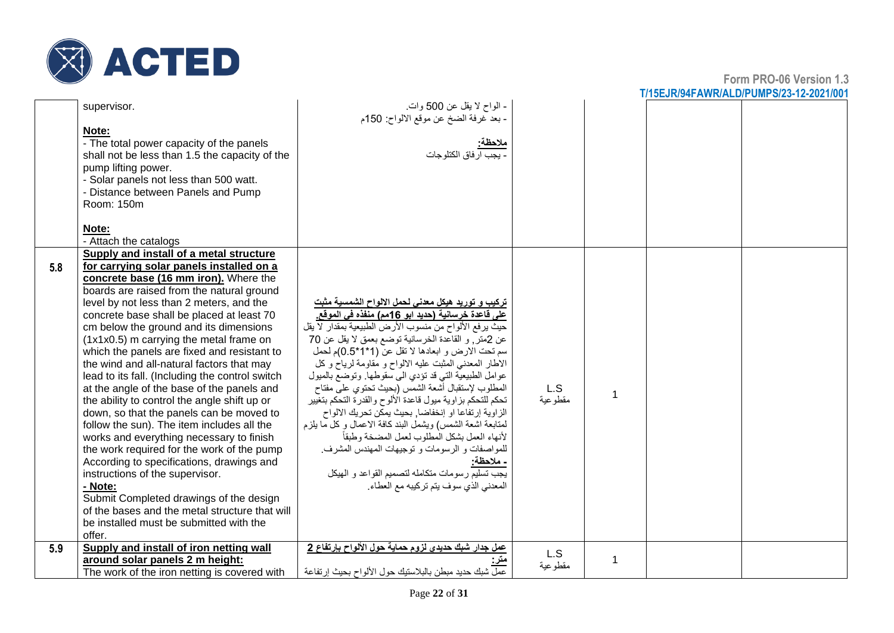

|     | supervisor.                                     | - الواح لا يقل عن 500 وات<br>- بعد غرفة الضخ عن موقع الالواح: 150م                                              |          |  |  |
|-----|-------------------------------------------------|-----------------------------------------------------------------------------------------------------------------|----------|--|--|
|     | Note:                                           |                                                                                                                 |          |  |  |
|     | - The total power capacity of the panels        | ملاحظة:                                                                                                         |          |  |  |
|     | shall not be less than 1.5 the capacity of the  | <u>- يجب ار</u> فاق الكتلوجات                                                                                   |          |  |  |
|     | pump lifting power.                             |                                                                                                                 |          |  |  |
|     | - Solar panels not less than 500 watt.          |                                                                                                                 |          |  |  |
|     | - Distance between Panels and Pump              |                                                                                                                 |          |  |  |
|     | Room: 150m                                      |                                                                                                                 |          |  |  |
|     |                                                 |                                                                                                                 |          |  |  |
|     | Note:                                           |                                                                                                                 |          |  |  |
|     | - Attach the catalogs                           |                                                                                                                 |          |  |  |
|     | Supply and install of a metal structure         |                                                                                                                 |          |  |  |
|     | for carrying solar panels installed on a        |                                                                                                                 |          |  |  |
| 5.8 | concrete base (16 mm iron). Where the           |                                                                                                                 |          |  |  |
|     | boards are raised from the natural ground       |                                                                                                                 |          |  |  |
|     | level by not less than 2 meters, and the        |                                                                                                                 |          |  |  |
|     | concrete base shall be placed at least 70       | <u>تركيب و توريد هيكل معدنى لحمل الالواح الشمسية مثبت</u><br>على قاعدة خرسانية (حديد ابو 16مم) منفذه في الموقع. |          |  |  |
|     | cm below the ground and its dimensions          | حيث يرفع الألواح من منسوب الأرض الطبيعية بمقدار لا يقل                                                          |          |  |  |
|     | (1x1x0.5) m carrying the metal frame on         | عن 2متر, و القاعدة الخرسانية توضع بعمق لا يقل عن 70                                                             |          |  |  |
|     | which the panels are fixed and resistant to     | سم تحت الارض و ابعادها لا تقل عن (1*1*0.5)م لحمل                                                                |          |  |  |
|     | the wind and all-natural factors that may       | الأطار المعدني المثبت عليه الالواح و مقاومة لرياح وكل                                                           |          |  |  |
|     | lead to its fall. (Including the control switch | عوامل الطبيعية التي قد تؤدي الى سقوطها. وتوضع بالميول                                                           |          |  |  |
|     | at the angle of the base of the panels and      | المطلوب لإستقبال أشعة الشمس (بحيث تحتوى على مفتاح                                                               | L.S      |  |  |
|     | the ability to control the angle shift up or    | تحكم للتحكم بزاوية ميول فاعدة الألوح والقدرة التحكم بتغيير                                                      | مقطو عية |  |  |
|     | down, so that the panels can be moved to        | الزاوية إرتفاعا او إنخفاضا, بحيث يمكن تحريك الالواح                                                             |          |  |  |
|     | follow the sun). The item includes all the      | لمتابعة اشعة الشمس) ويشمل البند كافة الاعمال وكل ما يلزم                                                        |          |  |  |
|     | works and everything necessary to finish        | لأنهاء العمل بشكل المطلوب لعمل المضخة وطبقأ                                                                     |          |  |  |
|     | the work required for the work of the pump      | للمواصفات و الرسومات و توجيهات المهندس المشرف.                                                                  |          |  |  |
|     | According to specifications, drawings and       | - ملاحظة:                                                                                                       |          |  |  |
|     | instructions of the supervisor.                 | يجب تسليم رسومات متكامله لتصميم القواعد و الهيكل                                                                |          |  |  |
|     | - Note:                                         | المعدني الذي سوف يتم تركيبه مع العطاء.                                                                          |          |  |  |
|     | Submit Completed drawings of the design         |                                                                                                                 |          |  |  |
|     | of the bases and the metal structure that will  |                                                                                                                 |          |  |  |
|     | be installed must be submitted with the         |                                                                                                                 |          |  |  |
|     | offer.                                          |                                                                                                                 |          |  |  |
| 5.9 | Supply and install of iron netting wall         | عمل جدار شبك حديدي لزوم حماية حول الألواح بإرتفاع 2                                                             |          |  |  |
|     | around solar panels 2 m height:                 |                                                                                                                 | L.S      |  |  |
|     | The work of the iron netting is covered with    | عمل شبك حديد مبطن بالبلاستيك حول الألواح بحيث إر تفاعة                                                          | مقطوعية  |  |  |
|     |                                                 |                                                                                                                 |          |  |  |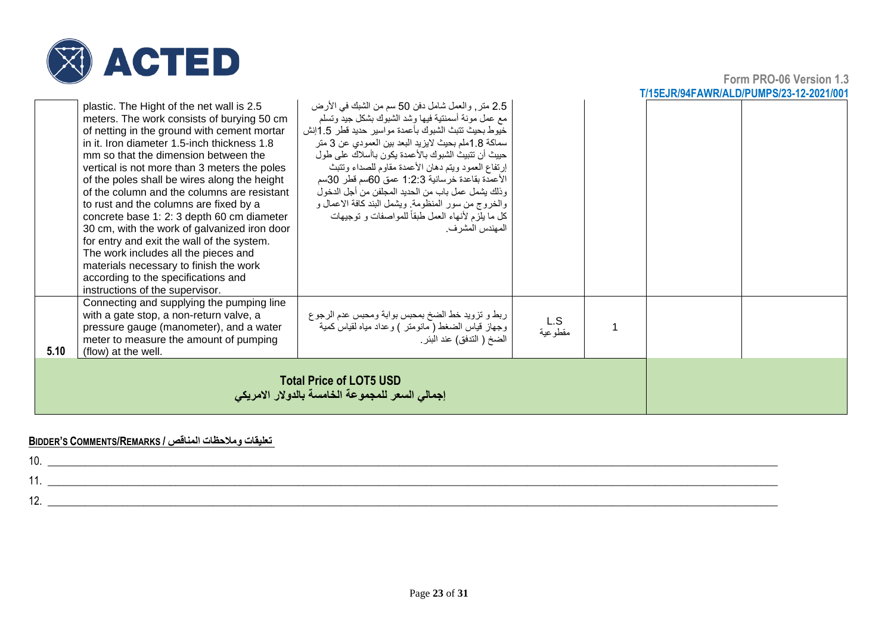

**Form PRO-06 Version 1.3 T/15EJR/94FAWR/ALD/PUMPS/23-12-2021/001**

|      | plastic. The Hight of the net wall is 2.5<br>meters. The work consists of burying 50 cm<br>of netting in the ground with cement mortar<br>in it. Iron diameter 1.5-inch thickness 1.8<br>mm so that the dimension between the<br>vertical is not more than 3 meters the poles<br>of the poles shall be wires along the height<br>of the column and the columns are resistant<br>to rust and the columns are fixed by a<br>concrete base 1: 2: 3 depth 60 cm diameter<br>30 cm, with the work of galvanized iron door<br>for entry and exit the wall of the system.<br>The work includes all the pieces and<br>materials necessary to finish the work<br>according to the specifications and<br>instructions of the supervisor. | 2.5 متر , والعمل شامل دفن 50 سم من الشبك في الأرض<br>مع عمل مونة أسمنتية فيها وشد الشبوك بشكل جيد وتسلم<br>خيوط بحيث تتبث الشبوك بأعمدة مواسير حديد قطر 1.5إنش<br>سماكة 1.8ملم بحيث لايزيد البعد بين العمودي عن 3 متر<br>حييث أن تتبيث الشبوك بالأعمدة يكون باأسلاك على طول<br>إرتفاع العمود ويتم دهان الأعمدة مقاوم للصداء وتتبث<br>الأعمدة بقاعدة خرسانية 1:2:3 عمق 60سم قطر 30سم<br>وذلك يشمل عمل باب من الحديد المجلفن من أجل الدخول<br>والخروج من سور المنظومة. ويشمل البند كافة الاعمال و<br>كل ما يلَّز م لأنهاء العمل طبقاً للمواصفات و توجيهات<br>المهندس المشرف. |                |  |  |
|------|--------------------------------------------------------------------------------------------------------------------------------------------------------------------------------------------------------------------------------------------------------------------------------------------------------------------------------------------------------------------------------------------------------------------------------------------------------------------------------------------------------------------------------------------------------------------------------------------------------------------------------------------------------------------------------------------------------------------------------|----------------------------------------------------------------------------------------------------------------------------------------------------------------------------------------------------------------------------------------------------------------------------------------------------------------------------------------------------------------------------------------------------------------------------------------------------------------------------------------------------------------------------------------------------------------------------|----------------|--|--|
| 5.10 | Connecting and supplying the pumping line<br>with a gate stop, a non-return valve, a<br>pressure gauge (manometer), and a water<br>meter to measure the amount of pumping<br>(flow) at the well.                                                                                                                                                                                                                                                                                                                                                                                                                                                                                                                               | ربط و تزويد خط الضخ بمحبس بوابة ومحبس عدم الرجوع<br>وجهاز قياس الضغط ( مانومنر ) وعداد مياه لقياس كمية<br>الضخ ( التدفق) عند البئر .                                                                                                                                                                                                                                                                                                                                                                                                                                       | L.S<br>مقطوعية |  |  |
|      | <b>Total Price of LOT5 USD</b><br>إجمالي السعر للمجموعة الخامسة بالدولار الامريكي                                                                                                                                                                                                                                                                                                                                                                                                                                                                                                                                                                                                                                              |                                                                                                                                                                                                                                                                                                                                                                                                                                                                                                                                                                            |                |  |  |

#### **BIDDER'S COMMENTS/REMARKS / المناقص ومالحظات تعليقات**

| 10                    |  |
|-----------------------|--|
|                       |  |
| $\overline{ }$<br>. . |  |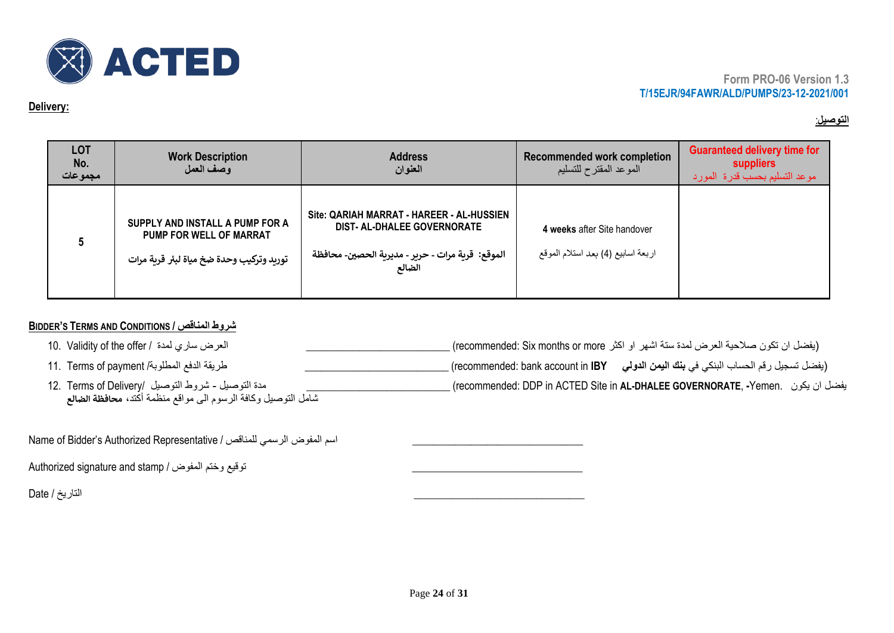

#### **Delivery:**

### **التوصيل** :

| <b>LOT</b><br>No.<br>مجموعات | <b>Work Description</b><br>وصف العمل                                                                   | <b>Address</b><br>العنوان                                                                                                                      | <b>Recommended work completion</b><br>الموعد المقترح للتسليم      | <b>Guaranteed delivery time for</b><br><b>suppliers</b><br>موعد التسليم بحسب قدرة المورد |
|------------------------------|--------------------------------------------------------------------------------------------------------|------------------------------------------------------------------------------------------------------------------------------------------------|-------------------------------------------------------------------|------------------------------------------------------------------------------------------|
|                              | SUPPLY AND INSTALL A PUMP FOR A<br>PUMP FOR WELL OF MARRAT<br>توريد وتركيب وحدة ضخ مياة لبئر قرية مرات | Site: QARIAH MARRAT - HAREER - AL-HUSSIEN<br><b>DIST- AL-DHALEE GOVERNORATE</b><br>الموقع:  قرية مرات - حرير - مديرية الحصين- محافظة<br>الضالع | 4 weeks after Site handover<br>اربعة اسابيع (4) بعد استلام الموقع |                                                                                          |

## **BIDDER'S TERMS AND CONDITIONS / المناقص شروط**

| العرض ساري لمدة  / 10.  Validity of the offer                 | (يفضل ان تكون صلاحية العرض لمدة ستة اشهر او اكثر recommended: Six months or more) ِ                        |
|---------------------------------------------------------------|------------------------------------------------------------------------------------------------------------|
| طريقة الدفع المطلوبة/ 11.  Terms of payment                   | ِ (يفضل تسجيل رقم الحساب البنكي في <b>بنك اليمن الدولي       r</b> ecommended: bank account in <b>IBY)</b> |
| مدة التوصيل - شروط التوصيل  /12.  Terms of Delivery           | _ يفضل ان يكون   .recommended: DDP in ACTED Site in <b>AL-DHALEE GOVERNORATE, -</b> Yemen   يفضل ان يكون   |
| شامل التوصيل وكافة الرسوم الى مواقع منظمة أكتد، محافظة الضالع |                                                                                                            |

Name of Bidder's Authorized Representative / السم المفوض الرسمي للمناقص

Authorized signature and stamp / توقيع وختم المفوض /

\_\_\_\_\_\_\_\_\_\_\_\_\_\_\_\_\_\_\_\_\_\_\_\_\_\_\_\_\_\_\_\_ التاريخ / Date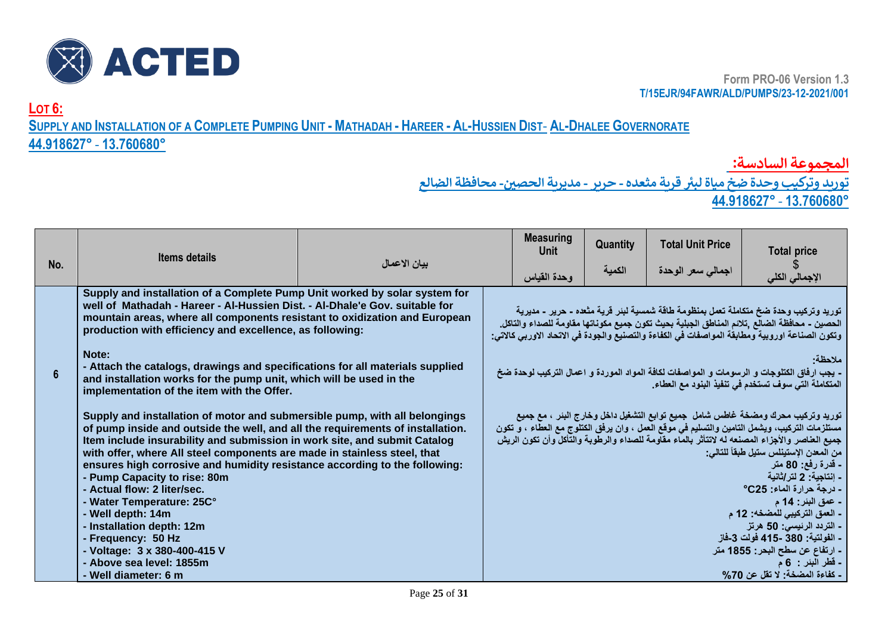

**LOT 6:**

## SUPPLY AND INSTALLATION OF A COMPLETE PUMPING UNIT - MATHADAH - HAREER - AL-HUSSIEN DIST- AL-DHALEE GOVERNORATE

## **44.918627°** - **13.760680°**

**المجموعة السادسة:** 

 **توريد وتركيب وحدة ضخ مياة لبت قرية مثعده - حرير - مديرية الحص ي- محافظة الضالع ز**

**44.918627°** - **13.760680°**

|                | <b>Items details</b>                                                                                                                                                                                                                                                                                                                                                                                                                                                                                                                                                                                                                                        |              | <b>Measuring</b><br>Unit | Quantity | <b>Total Unit Price</b> | <b>Total price</b>                                                                                                                                                                                                                                                                                                                                                                                                                                                                                                                                                                                                                      |
|----------------|-------------------------------------------------------------------------------------------------------------------------------------------------------------------------------------------------------------------------------------------------------------------------------------------------------------------------------------------------------------------------------------------------------------------------------------------------------------------------------------------------------------------------------------------------------------------------------------------------------------------------------------------------------------|--------------|--------------------------|----------|-------------------------|-----------------------------------------------------------------------------------------------------------------------------------------------------------------------------------------------------------------------------------------------------------------------------------------------------------------------------------------------------------------------------------------------------------------------------------------------------------------------------------------------------------------------------------------------------------------------------------------------------------------------------------------|
| No.            |                                                                                                                                                                                                                                                                                                                                                                                                                                                                                                                                                                                                                                                             | بيان الاعمال | وحدة القياس              | الكمية   | اجمالى سعر الوحدة       | الإجمالي الكلي                                                                                                                                                                                                                                                                                                                                                                                                                                                                                                                                                                                                                          |
|                | Supply and installation of a Complete Pump Unit worked by solar system for<br>well of Mathadah - Hareer - Al-Hussien Dist. - Al-Dhale'e Gov. suitable for<br>mountain areas, where all components resistant to oxidization and European<br>production with efficiency and excellence, as following:                                                                                                                                                                                                                                                                                                                                                         |              |                          |          |                         | توريد وتركيب وحدة ضخ متكاملة تعمل بمنظومة طاقة شمسية لبئر فرية مثعده - حرير - مديرية<br>الحصين - محافظة الضالع ,تلانم المناطق الجبلية بحيث تكون جميع مكوناتها مقاومة للصداء والتاكل.<br>وتكون الصناعة اوروبية ومطابقة المواصفات في الكفاءة والتصنيع والجودة في الاتحاد الاوربي كالاتي:                                                                                                                                                                                                                                                                                                                                                  |
| $6\phantom{1}$ | Note:<br>- Attach the catalogs, drawings and specifications for all materials supplied<br>and installation works for the pump unit, which will be used in the<br>implementation of the item with the Offer.                                                                                                                                                                                                                                                                                                                                                                                                                                                 |              |                          |          |                         | ملاحظة<br>- يجب ارفاق الكتلوجات و الرسومات و المواصفات لكافة المواد الموردة و اعمال التركيب لوحدة ضخ<br>المتكاملة التي سوف تستخدم في تنفيذ البنود مع العطاء.                                                                                                                                                                                                                                                                                                                                                                                                                                                                            |
|                | Supply and installation of motor and submersible pump, with all belongings<br>of pump inside and outside the well, and all the requirements of installation.<br>Item include insurability and submission in work site, and submit Catalog<br>with offer, where All steel components are made in stainless steel, that<br>ensures high corrosive and humidity resistance according to the following:<br>- Pump Capacity to rise: 80m<br>- Actual flow: 2 liter/sec.<br>- Water Temperature: 25C°<br>- Well depth: 14m<br>- Installation depth: 12m<br>- Frequency: 50 Hz<br>- Voltage: 3 x 380-400-415 V<br>- Above sea level: 1855m<br>- Well diameter: 6 m |              |                          |          |                         | توريد وتركيب محرك ومضخة غاطس شامل  جميع توابع التشغيل داخل وخارج البنر ، مع جميع<br>مستلزمات التركيب، ويشمل التامين والتسليم في موقع العمل ، وان يرفق الكتلوج مع العطاء ، و تكون<br>جميع العناصر والأجزاء المصنعه له لاتتأثر بالماء مفاومة للصداء والرطوبة والتأكل وأن تكون الريش<br>من المعدن الإستينلس ستيل طبقاً للتالي:<br><b>ـ قدرة رفع: 80 متر</b><br>- اِنتاجية: 2 لتر/ثانية<br>- درجة حرارة الماء: 25°°<br><b>- عمق البئر : 14 م</b><br>- العمق التركيبي للمضخه: 12 م<br>ـ التردد الرئيسي: 50 هرتز<br>- الفولتية: 380 -415 فولت 3-فاز<br>- ارتفاع عن سطح البحر : 1855 متر<br>- قطر البئر : 6 م<br>- كفاءة المضخة: لا تقل عن 70% |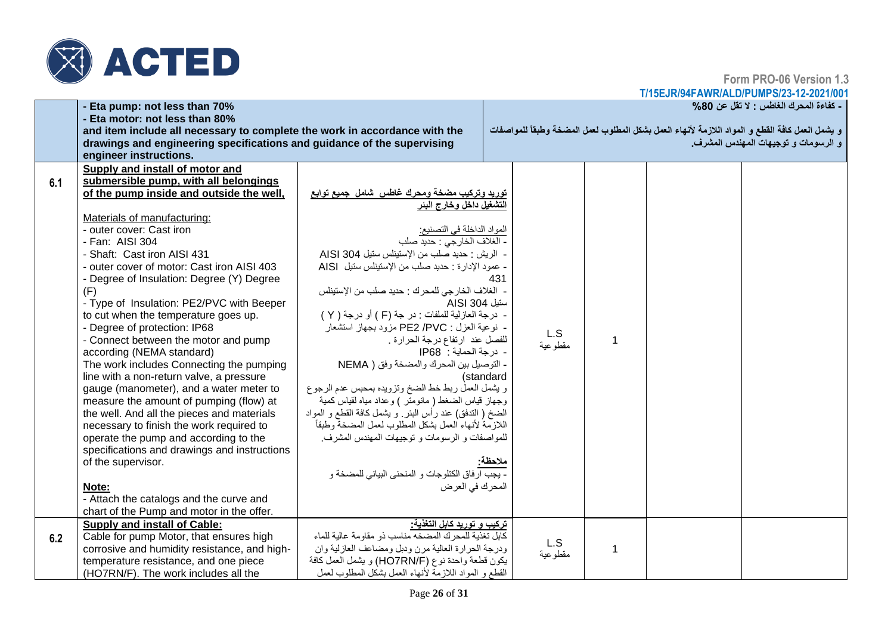

**Form PRO-06 Version 1.3**

**T/15EJR/94FAWR/ALD/PUMPS/23-12-2021/001**

|     | - Eta pump: not less than 70%                                                                                |                                                                          |     |         |              | - كفاءة المحرك الغاطس : لا تقل عن 80%                                                           |
|-----|--------------------------------------------------------------------------------------------------------------|--------------------------------------------------------------------------|-----|---------|--------------|-------------------------------------------------------------------------------------------------|
|     | - Eta motor: not less than 80%<br>and item include all necessary to complete the work in accordance with the |                                                                          |     |         |              | و يشمل العمل كافة القطع و المواد اللازمة لأنهاء العمل بشكل المطلوب لعمل المضخة وطبقاً للمواصفات |
|     | drawings and engineering specifications and guidance of the supervising                                      |                                                                          |     |         |              | و الرسومات و توجيهات المهندس المشرف.                                                            |
|     | engineer instructions.                                                                                       |                                                                          |     |         |              |                                                                                                 |
|     | Supply and install of motor and                                                                              |                                                                          |     |         |              |                                                                                                 |
| 6.1 | submersible pump, with all belongings                                                                        |                                                                          |     |         |              |                                                                                                 |
|     | of the pump inside and outside the well,                                                                     | <u>توريد وتركيب مضخة ومحرك غاطس  ش</u> امل  جميع توابع                   |     |         |              |                                                                                                 |
|     |                                                                                                              | التشغيل داخل وخارج البئر                                                 |     |         |              |                                                                                                 |
|     | Materials of manufacturing:                                                                                  |                                                                          |     |         |              |                                                                                                 |
|     | - outer cover: Cast iron                                                                                     | المواد الداخلة في التصنيع:                                               |     |         |              |                                                                                                 |
|     | - Fan: AISI 304                                                                                              | - الغلاف الخارجي : حديد صلب                                              |     |         |              |                                                                                                 |
|     | - Shaft: Cast iron AISI 431                                                                                  | - الريش : حديد صلب من الإستيناس ستيل AISI 304                            |     |         |              |                                                                                                 |
|     | - outer cover of motor: Cast iron AISI 403                                                                   | - عمود الإدارة : حديد صلب من الإستينلس ستيل AISI                         |     |         |              |                                                                                                 |
|     | - Degree of Insulation: Degree (Y) Degree                                                                    |                                                                          | 431 |         |              |                                                                                                 |
|     | (F)                                                                                                          | - الغلاف الخارجي للمحرك : حديد صلب من الإستينلس                          |     |         |              |                                                                                                 |
|     | - Type of Insulation: PE2/PVC with Beeper                                                                    | ستيل 304 AISI                                                            |     |         |              |                                                                                                 |
|     | to cut when the temperature goes up.                                                                         | - درجة العازلية للملفات : در جة (F ) أو درجة ( Y )                       |     |         |              |                                                                                                 |
|     | - Degree of protection: IP68                                                                                 | - نوعية العزل : PE2 /PVC مزود بجهاز استشعار ْ                            |     | L.S     |              |                                                                                                 |
|     | - Connect between the motor and pump                                                                         | للفصل عند ارتفاع درجة الحرارة .                                          |     | مقطوعية | 1            |                                                                                                 |
|     | according (NEMA standard)                                                                                    | - درجة الحماية : IP68                                                    |     |         |              |                                                                                                 |
|     | The work includes Connecting the pumping                                                                     | - التوصيل بين المحرك والمضخة وفق ( NEMA                                  |     |         |              |                                                                                                 |
|     | line with a non-return valve, a pressure<br>gauge (manometer), and a water meter to                          | (standard<br>و يشمل العمل ربط خط الضخ وتزويده بمحبس عدم الرجوع           |     |         |              |                                                                                                 |
|     | measure the amount of pumping (flow) at                                                                      | وجهاز قياس الضغط ( مانومتر ) وعداد مياه لقياس كمية                       |     |         |              |                                                                                                 |
|     | the well. And all the pieces and materials                                                                   | الضخ ( الندفق) عند رأس البئر ٍ و يشمل كافة القطع و المواد                |     |         |              |                                                                                                 |
|     | necessary to finish the work required to                                                                     | اللازمة لأنهاء العمل بشكل المطلوب لعمل المضخة وطبقأ                      |     |         |              |                                                                                                 |
|     | operate the pump and according to the                                                                        | للمواصفات و الرسومات و توجيهات المهندس المشرف.                           |     |         |              |                                                                                                 |
|     | specifications and drawings and instructions                                                                 |                                                                          |     |         |              |                                                                                                 |
|     | of the supervisor.                                                                                           |                                                                          |     |         |              |                                                                                                 |
|     |                                                                                                              | <mark>ملاحظة:</mark><br>- يجب ارفاق الكتلوجات و المنحني البياني للمضخة و |     |         |              |                                                                                                 |
|     | Note:                                                                                                        | المحرك في العرض                                                          |     |         |              |                                                                                                 |
|     | - Attach the catalogs and the curve and                                                                      |                                                                          |     |         |              |                                                                                                 |
|     | chart of the Pump and motor in the offer.                                                                    |                                                                          |     |         |              |                                                                                                 |
|     | <b>Supply and install of Cable:</b>                                                                          | تركيب و توريد كابل التغذية:                                              |     |         |              |                                                                                                 |
| 6.2 | Cable for pump Motor, that ensures high                                                                      | كابل تغذية للمحرك المضخه مناسب ذو مقاومة عالية للماء                     |     |         |              |                                                                                                 |
|     | corrosive and humidity resistance, and high-                                                                 | ودرجة الحرارة العالية مرن ودبل ومضاعف العازلية وان                       |     | L.S     | $\mathbf{1}$ |                                                                                                 |
|     | temperature resistance, and one piece                                                                        | يكون قطعة واحدة نوع (HO7RN/F) ويشمل العمل كافة                           |     | مقطوعية |              |                                                                                                 |
|     | (HO7RN/F). The work includes all the                                                                         | القطع و المواد اللاز مة لأنهاء العمل بشكل المطلوب لعمل                   |     |         |              |                                                                                                 |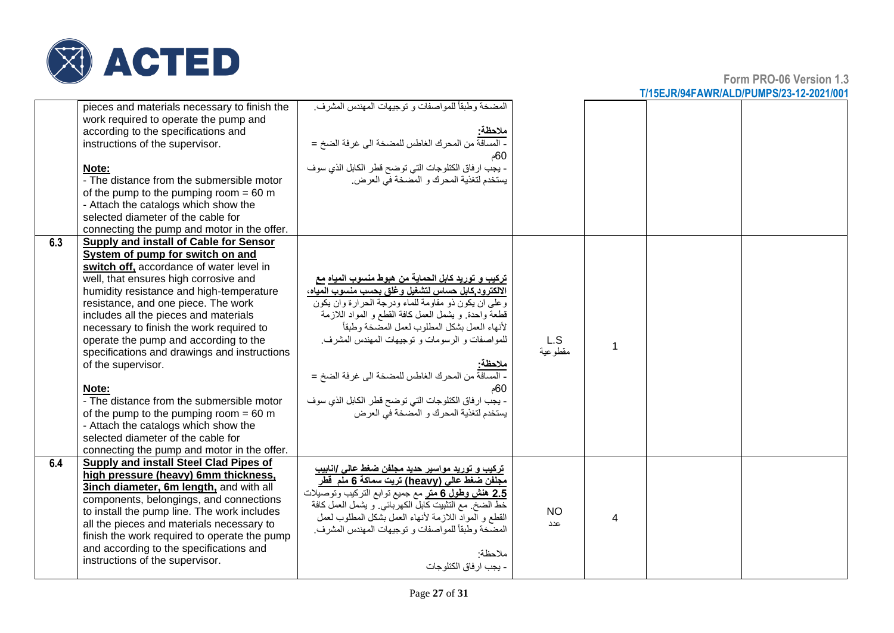

|     | pieces and materials necessary to finish the<br>work required to operate the pump and<br>according to the specifications and<br>instructions of the supervisor.<br>Note:<br>- The distance from the submersible motor<br>of the pump to the pumping room = $60 \text{ m}$<br>- Attach the catalogs which show the<br>selected diameter of the cable for<br>connecting the pump and motor in the offer.                                                                                                                                                                                                                                                                                        | المضخة وطبقاً للمواصفات و توجيهات المهندس المشرف.<br><u>ملاحظة:</u><br>- المسافة من المحرك الغاطس للمضخة الى غرفة الضخ =<br>60م<br>- يجب ارفاق الكتلوجات التي توضح قطر الكابل الذي سوف<br>يستخدم لتغذية المحرك و المضخة في العرض.                                                                                                                                                                                                                                                                       |                  |   |  |
|-----|-----------------------------------------------------------------------------------------------------------------------------------------------------------------------------------------------------------------------------------------------------------------------------------------------------------------------------------------------------------------------------------------------------------------------------------------------------------------------------------------------------------------------------------------------------------------------------------------------------------------------------------------------------------------------------------------------|---------------------------------------------------------------------------------------------------------------------------------------------------------------------------------------------------------------------------------------------------------------------------------------------------------------------------------------------------------------------------------------------------------------------------------------------------------------------------------------------------------|------------------|---|--|
| 6.3 | Supply and install of Cable for Sensor<br>System of pump for switch on and<br>switch off, accordance of water level in<br>well, that ensures high corrosive and<br>humidity resistance and high-temperature<br>resistance, and one piece. The work<br>includes all the pieces and materials<br>necessary to finish the work required to<br>operate the pump and according to the<br>specifications and drawings and instructions<br>of the supervisor.<br>Note:<br>- The distance from the submersible motor<br>of the pump to the pumping room = $60 \text{ m}$<br>- Attach the catalogs which show the<br>selected diameter of the cable for<br>connecting the pump and motor in the offer. | تركيب و توريد كابل الحماية من هبوط منسوب المياه مع<br>الالكترود كابل حساس لتشغيل وغلق بحسب منسوب المياه،<br>وعلى ان يكون ذو مقاومة للماء ودرجة الحرارة وان يكون<br>قطعة واحدة. و يشمل العمل كافة القطع و المواد اللازمة<br>لأنهاء العمل بشكل المطلوب لعمل المصخة وطبقأ<br>للمواصفات و الرسومات و توجيهات المهندس المشرف.<br><u>ملاحظة:</u><br>- المسافة من المحرك الغاطس للمضخة الى غرفة الضخ =<br>60م<br>- يجب ارفاق الكتلوجات التي توضح قطر الكابل الذي سوف<br>يستخدم لتغذية المحرك و المضخة في العرض | L.S<br>مقطو عية  |   |  |
| 6.4 | Supply and install Steel Clad Pipes of<br>high pressure (heavy) 6mm thickness,<br>3inch diameter, 6m length, and with all<br>components, belongings, and connections<br>to install the pump line. The work includes<br>all the pieces and materials necessary to<br>finish the work required to operate the pump<br>and according to the specifications and<br>instructions of the supervisor.                                                                                                                                                                                                                                                                                                | ترکیب و تورید مواسیر حدید مجلفن ضغط عالی /انابیب<br>مجلفن ضغط عالى (heavy) تريت سماكة 6 ملم  قطر<br><mark>2.5</mark> هنش وطول 6 متر مع جميع نوابع التركيب وتوصيلات<br>خط الضخ ٍ مع التثبيت كابل الكهربائي و يشمل العمل كافة<br>القطع و المواد اللازمة لأنهاء العمل بشكل المطلوب لعمل<br>المضَّخة وطبقاً للمواصفات و توجيهات المهندس المشرف.<br>ملاحظة:<br>- يجب ار فاق الكتلو جات                                                                                                                       | <b>NO</b><br>عدد | 4 |  |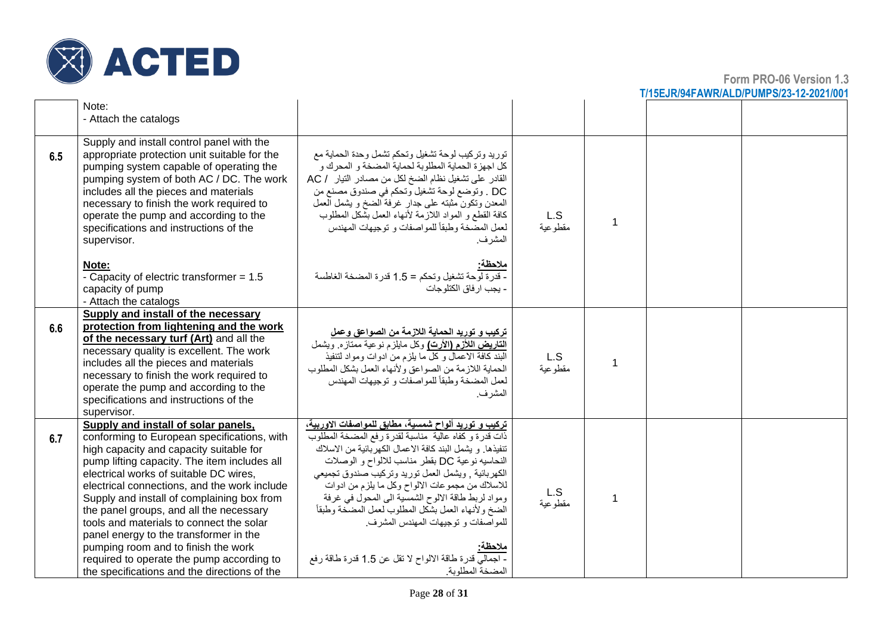

|     |                                                                                                                                                                                                                                                                                                                                                                                                                                                                                                                                                                                            |                                                                                                                                                                                                                                                                                                                                                                                                                                                                                                                                                                                |                |   | <u>III IJLJINJIH ANNIVALDIF UMFOIZJI IZIZUZ IIUU</u> |
|-----|--------------------------------------------------------------------------------------------------------------------------------------------------------------------------------------------------------------------------------------------------------------------------------------------------------------------------------------------------------------------------------------------------------------------------------------------------------------------------------------------------------------------------------------------------------------------------------------------|--------------------------------------------------------------------------------------------------------------------------------------------------------------------------------------------------------------------------------------------------------------------------------------------------------------------------------------------------------------------------------------------------------------------------------------------------------------------------------------------------------------------------------------------------------------------------------|----------------|---|------------------------------------------------------|
|     | Note:<br>- Attach the catalogs                                                                                                                                                                                                                                                                                                                                                                                                                                                                                                                                                             |                                                                                                                                                                                                                                                                                                                                                                                                                                                                                                                                                                                |                |   |                                                      |
| 6.5 | Supply and install control panel with the<br>appropriate protection unit suitable for the<br>pumping system capable of operating the<br>pumping system of both AC / DC. The work<br>includes all the pieces and materials<br>necessary to finish the work required to<br>operate the pump and according to the<br>specifications and instructions of the<br>supervisor.                                                                                                                                                                                                                    | توريد وتركيب لوحة تشغيل وتحكم تشمل وحدة الحماية مع<br>كل اجهزة الحماية المطلوبة لحماية المضخة و المحرك و<br>القادر على تشغيل نظام الضخ لكل من مصادر التيار / AC<br>DC . وتوضع لوحة تشغيل وتحكم في صندوق مصنع من<br>المعدن وتكون مثبته على جدار غرفة الضخ و يشمل العمل<br>كافة القطع و المواد اللازمة لأنهاء العمل بشكل المطلوب<br>لعمل المصَّخة وطبقاً للمواصفات و توجيهات المهندس<br>المشر ف.                                                                                                                                                                                 | L.S<br>مقطوعية | 1 |                                                      |
|     | Note:<br>- Capacity of electric transformer = 1.5<br>capacity of pump<br>- Attach the catalogs                                                                                                                                                                                                                                                                                                                                                                                                                                                                                             | <u>ملاحظ</u> ة:<br>- قدرة لوحة تشغيل وتحكم = 1.5 قدرة المضخة الغاطسة<br>- يجب ار فاق الكتلوجات                                                                                                                                                                                                                                                                                                                                                                                                                                                                                 |                |   |                                                      |
| 6.6 | <b>Supply and install of the necessary</b><br>protection from lightening and the work<br>of the necessary turf (Art) and all the<br>necessary quality is excellent. The work<br>includes all the pieces and materials<br>necessary to finish the work required to<br>operate the pump and according to the<br>specifications and instructions of the<br>supervisor.                                                                                                                                                                                                                        | <u>تركيب و توريد الحماية اللازمة من الصواعق وعمل</u><br>التاريض اللأزم (الأرت) وكل مايلزم نوعية ممتازه ويشمل<br>البند كافة الاعمال وكل ما بلزم من ادوات ومواد لتنفيذ<br>الحماية اللازمة من الصواعق ولأنهاء العمل بشكل المطلوب<br>لعمل المضخة وطبقاً للمو اصفات و توجيهات المهندس<br>المشر ف.                                                                                                                                                                                                                                                                                   | L.S<br>مقطوعية | 1 |                                                      |
| 6.7 | Supply and install of solar panels,<br>conforming to European specifications, with<br>high capacity and capacity suitable for<br>pump lifting capacity. The item includes all<br>electrical works of suitable DC wires,<br>electrical connections, and the work include<br>Supply and install of complaining box from<br>the panel groups, and all the necessary<br>tools and materials to connect the solar<br>panel energy to the transformer in the<br>pumping room and to finish the work<br>required to operate the pump according to<br>the specifications and the directions of the | تركيب و توريد ألواح شمسية، مطابق للمواصفات الاوربية،<br>ذات قدرة و كفاه عالية ً مناسبة لقدرة رفع المضخة المطلوب<br>تنفيذها. و يشمل البند كافة الاعمال الكهربائية من الاسلاك<br>النحاسيه نوعية DC بقطر مناسب للالواح و الوصلات<br>الكهربائية , ويشمل العمل توريد وتركيب صندوق تجميعي<br>للاسلاك من مجموعات الالواح وكل ما يلزم من ادوات<br>ومواد لربط طاقة الالوح الشمسية الى المحول في غرفة<br>الضخ ولأنهاء العمل بشكل المطلوب لعمل المضخة وطبقأ<br>للمواصفات و توجيهات المهندس المشرف.<br>ملاحظه<br>- اجمالي قدرة طاقة الالواح لا نقل عن 1.5 قدرة طاقة رفع<br>المضخة المطلوبة | L.S<br>مقطوعية |   |                                                      |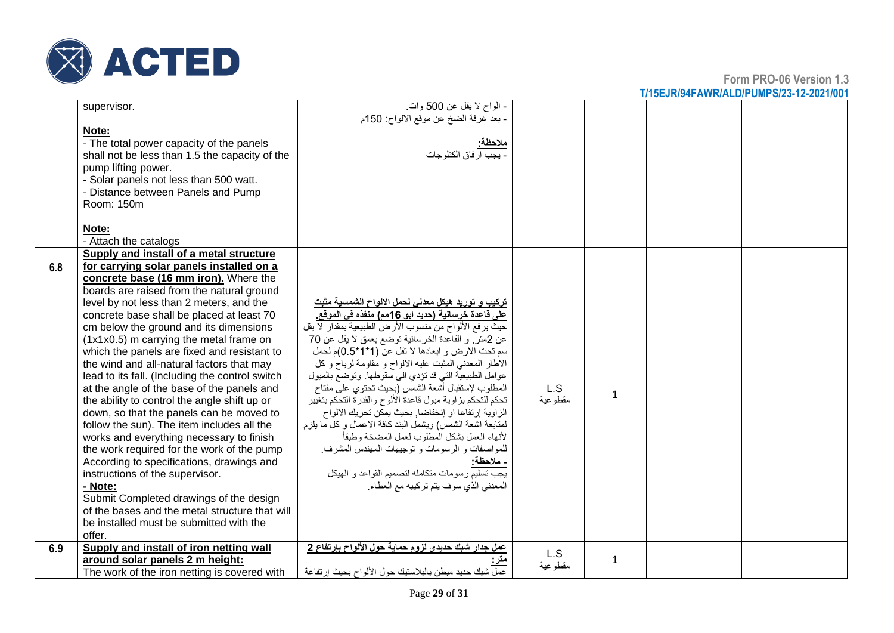

|     | supervisor.<br>Note:<br>- The total power capacity of the panels<br>shall not be less than 1.5 the capacity of the<br>pump lifting power.<br>- Solar panels not less than 500 watt.<br>- Distance between Panels and Pump<br>Room: 150m                                                                                                                                                                                                                                                                                                                                                                                                                                                                                                                                                                                                                                                                                                                                                                                               | - الواح لا يقل عن 500 وات.<br>- بعد غرفة الضخ عن موقع الالواح: 150م<br>ملاحظة:<br>. يجب ار فاق الكتلو جات                                                                                                                                                                                                                                                                                                                                                                                                                                                                                                                                                                                                                                                                                                                                                        |                |              |  |
|-----|---------------------------------------------------------------------------------------------------------------------------------------------------------------------------------------------------------------------------------------------------------------------------------------------------------------------------------------------------------------------------------------------------------------------------------------------------------------------------------------------------------------------------------------------------------------------------------------------------------------------------------------------------------------------------------------------------------------------------------------------------------------------------------------------------------------------------------------------------------------------------------------------------------------------------------------------------------------------------------------------------------------------------------------|------------------------------------------------------------------------------------------------------------------------------------------------------------------------------------------------------------------------------------------------------------------------------------------------------------------------------------------------------------------------------------------------------------------------------------------------------------------------------------------------------------------------------------------------------------------------------------------------------------------------------------------------------------------------------------------------------------------------------------------------------------------------------------------------------------------------------------------------------------------|----------------|--------------|--|
|     | Note:<br>- Attach the catalogs                                                                                                                                                                                                                                                                                                                                                                                                                                                                                                                                                                                                                                                                                                                                                                                                                                                                                                                                                                                                        |                                                                                                                                                                                                                                                                                                                                                                                                                                                                                                                                                                                                                                                                                                                                                                                                                                                                  |                |              |  |
| 6.8 | Supply and install of a metal structure<br>for carrying solar panels installed on a<br>concrete base (16 mm iron). Where the<br>boards are raised from the natural ground<br>level by not less than 2 meters, and the<br>concrete base shall be placed at least 70<br>cm below the ground and its dimensions<br>(1x1x0.5) m carrying the metal frame on<br>which the panels are fixed and resistant to<br>the wind and all-natural factors that may<br>lead to its fall. (Including the control switch<br>at the angle of the base of the panels and<br>the ability to control the angle shift up or<br>down, so that the panels can be moved to<br>follow the sun). The item includes all the<br>works and everything necessary to finish<br>the work required for the work of the pump<br>According to specifications, drawings and<br>instructions of the supervisor.<br>- Note:<br>Submit Completed drawings of the design<br>of the bases and the metal structure that will<br>be installed must be submitted with the<br>offer. | <u>تركيب و توريد هيكل معدنى لحمل الالواح الشمسية مثبت</u><br>على فاعدة خرسانية (حديد ابو 16مم) منفذه في الموقع.<br>حيث يرفع الألواح من منسوب الأرض الطبيعية بمقدار لا يقل<br>عن 2متر, و القاعدة الخرسانية توضع بعمق لا يقل عن 70<br>سم تحت الارض و ابعادها لا تقل عن (1*1*0.5)م لحمل<br>الاطار المعدني المثبت عليه الالواح و مقاومة لرياح وكل<br>عوامل الطبيعية التي قد تؤدي الى سقوطها. وتوضع بالميول<br>المطلوب لإستقبال أشعة الشمس (بحيث تحتوي علىي مفتاح<br>تحكم للتحكم بزاوية ميول قاعدة الألوح والقدرة التحكم بتغيير<br>الزاوية إرتفاعا او إنخفاضا, بحيث يمكن تحريك الالواح<br>لمتابعة اشعة الشمس) ويشمل البند كافة الاعمال وكل ما يلزم<br>لأنهاء العمل بشكل المطلوب لعمل المضخة وطبقأ<br>للمواصفات و الرسومات و توجيهات المهندس المشرف.<br>- ملاحظة:<br>.<br>يجب تسليم ر سو مات متكامله لتصميم القو اعد و الهيكل<br>المعدني الذي سوف يتم تركيبه مع العطاء | L.S<br>مقطوعية | 1            |  |
| 6.9 | Supply and install of iron netting wall<br>around solar panels 2 m height:<br>The work of the iron netting is covered with                                                                                                                                                                                                                                                                                                                                                                                                                                                                                                                                                                                                                                                                                                                                                                                                                                                                                                            | عمل جدار شبك حديدي لزوم حماية حول الألواح بإرتفاع 2<br>عمل شبك حديد مبطن بالبلاستيك حول الألواح بحيث إر تفاعة                                                                                                                                                                                                                                                                                                                                                                                                                                                                                                                                                                                                                                                                                                                                                    | L.S<br>مقطوعية | $\mathbf{1}$ |  |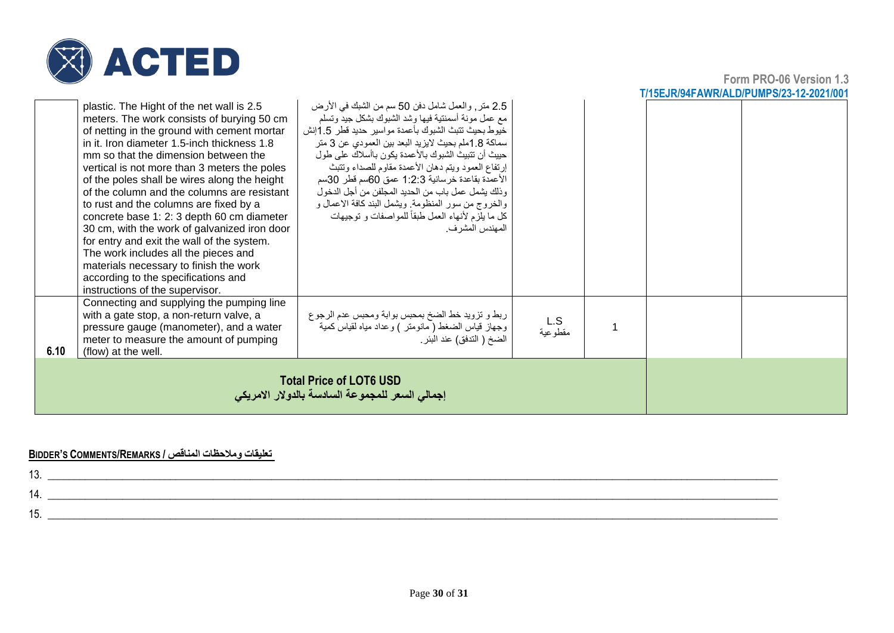

**Form PRO-06 Version 1.3 T/15EJR/94FAWR/ALD/PUMPS/23-12-2021/001**

|      | <b>Total Price of LOT6 USD</b><br>إجمالي السعر للمجموعة السادسة بالدولار الامريكي                                                                                                                                                                                                                                                                                                                                                                                                                                                                                                                                                                                                                                              |                                                                                                                                                                                                                                                                                                                                                                                                                                                                                                                                                                         |                |  |  |  |
|------|--------------------------------------------------------------------------------------------------------------------------------------------------------------------------------------------------------------------------------------------------------------------------------------------------------------------------------------------------------------------------------------------------------------------------------------------------------------------------------------------------------------------------------------------------------------------------------------------------------------------------------------------------------------------------------------------------------------------------------|-------------------------------------------------------------------------------------------------------------------------------------------------------------------------------------------------------------------------------------------------------------------------------------------------------------------------------------------------------------------------------------------------------------------------------------------------------------------------------------------------------------------------------------------------------------------------|----------------|--|--|--|
| 6.10 | Connecting and supplying the pumping line<br>with a gate stop, a non-return valve, a<br>pressure gauge (manometer), and a water<br>meter to measure the amount of pumping<br>(flow) at the well.                                                                                                                                                                                                                                                                                                                                                                                                                                                                                                                               | ربط و تزويد خط الضخ بمحبس بوابة ومحبس عدم الرجوع<br>وجهاز قياس الضغط ( مانومتر ) وعداد مياه لقياس كمية<br>الضخ ( التدفق) عند البئر .                                                                                                                                                                                                                                                                                                                                                                                                                                    | L.S<br>مقطوعية |  |  |  |
|      | plastic. The Hight of the net wall is 2.5<br>meters. The work consists of burying 50 cm<br>of netting in the ground with cement mortar<br>in it. Iron diameter 1.5-inch thickness 1.8<br>mm so that the dimension between the<br>vertical is not more than 3 meters the poles<br>of the poles shall be wires along the height<br>of the column and the columns are resistant<br>to rust and the columns are fixed by a<br>concrete base 1: 2: 3 depth 60 cm diameter<br>30 cm, with the work of galvanized iron door<br>for entry and exit the wall of the system.<br>The work includes all the pieces and<br>materials necessary to finish the work<br>according to the specifications and<br>instructions of the supervisor. | 2.5 متر, والعمل شامل دفن 50 سم من الشبك في الأرض<br>مع عمل مونة أسمنتية فيها وشد الشبوك بشكل جيد وتسلم<br>خيوط بحيث تتبث الشبوك بأعمدة مواسير حديد فطر 1.5إنش<br>سماكة 1.8ملم بحيث لايزيد البعد بين العمودي عن 3 متر<br>حييث أن تتبيث الشبوك بالأعمدة يكون باأسلاك على طول<br>إرتفاع العمود ويتم دهان الأعمدة مقاوم للصداء وتتبث<br>الأعمدة بقاعدة خرسانية 1:2:3 عمق 60سم قطر 30سم<br>وذلك يشمل عمل باب من الحديد المجلفن من أجل الدخول<br>والخروج من سور المنظومة. ويشمل البند كافة الاعمال و<br>كل ما يلزم لأنهاء العمل طبقاً للمواصفات و توجيهات<br>المهندس المشر ف. |                |  |  |  |

#### **BIDDER'S COMMENTS/REMARKS / المناقص ومالحظات تعليقات**

| . ت |  |
|-----|--|
|     |  |
|     |  |